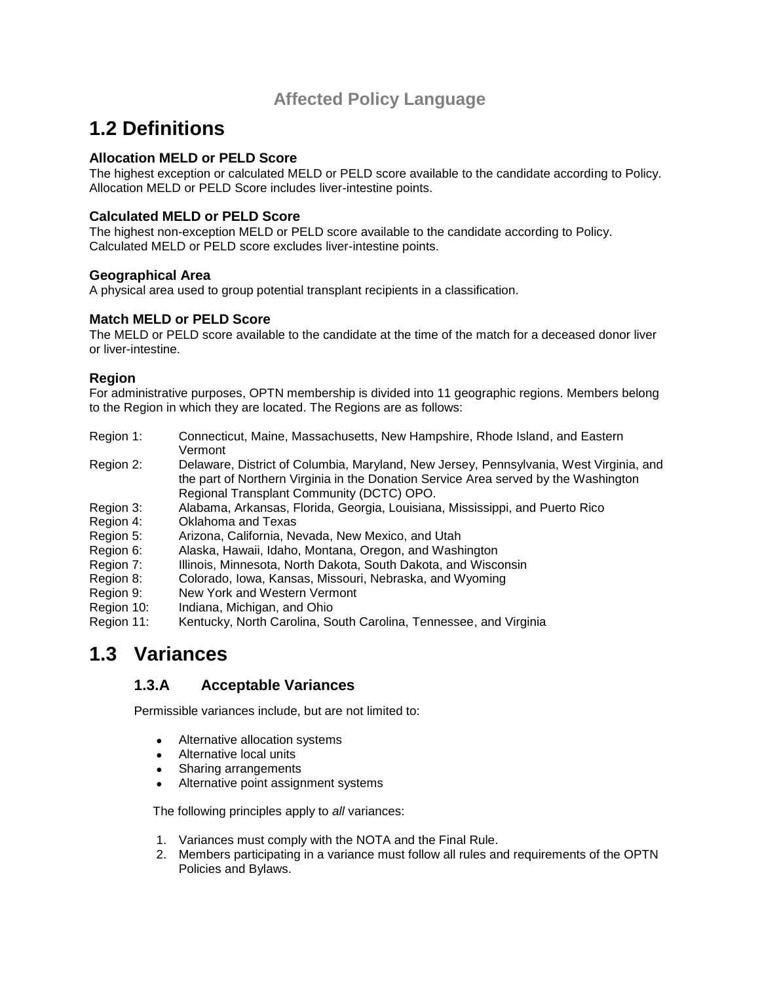### **Affected Policy Language**

## **1.2 Definitions**

### **Allocation MELD or PELD Score**

The highest exception or calculated MELD or PELD score available to the candidate according to Policy. Allocation MELD or PELD Score includes liver-intestine points.

### **Calculated MELD or PELD Score**

The highest non-exception MELD or PELD score available to the candidate according to Policy. Calculated MELD or PELD score excludes liver-intestine points.

#### **Geographical Area**

A physical area used to group potential transplant recipients in a classification.

#### **Match MELD or PELD Score**

The MELD or PELD score available to the candidate at the time of the match for a deceased donor liver or liver-intestine.

#### **Region**

For administrative purposes, OPTN membership is divided into 11 geographic regions. Members belong to the Region in which they are located. The Regions are as follows:

- Region 1: Connecticut, Maine, Massachusetts, New Hampshire, Rhode Island, and Eastern Vermont
- Region 2: Delaware, District of Columbia, Maryland, New Jersey, Pennsylvania, West Virginia, and the part of Northern Virginia in the Donation Service Area served by the Washington Regional Transplant Community (DCTC) OPO.
- Region 3: Alabama, Arkansas, Florida, Georgia, Louisiana, Mississippi, and Puerto Rico
- Region 4: Oklahoma and Texas
- Region 5: Arizona, California, Nevada, New Mexico, and Utah
- Region 6: Alaska, Hawaii, Idaho, Montana, Oregon, and Washington
- Region 7: Illinois, Minnesota, North Dakota, South Dakota, and Wisconsin
- Region 8: Colorado, Iowa, Kansas, Missouri, Nebraska, and Wyoming
- Region 9: New York and Western Vermont
- Region 10: Indiana, Michigan, and Ohio
- Region 11: Kentucky, North Carolina, South Carolina, Tennessee, and Virginia

## **1.3 Variances**

### **1.3.A Acceptable Variances**

Permissible variances include, but are not limited to:

- Alternative allocation systems
- Alternative local units
- Sharing arrangements
- Alternative point assignment systems

The following principles apply to *all* variances:

- 1. Variances must comply with the NOTA and the Final Rule.
- 2. Members participating in a variance must follow all rules and requirements of the OPTN Policies and Bylaws.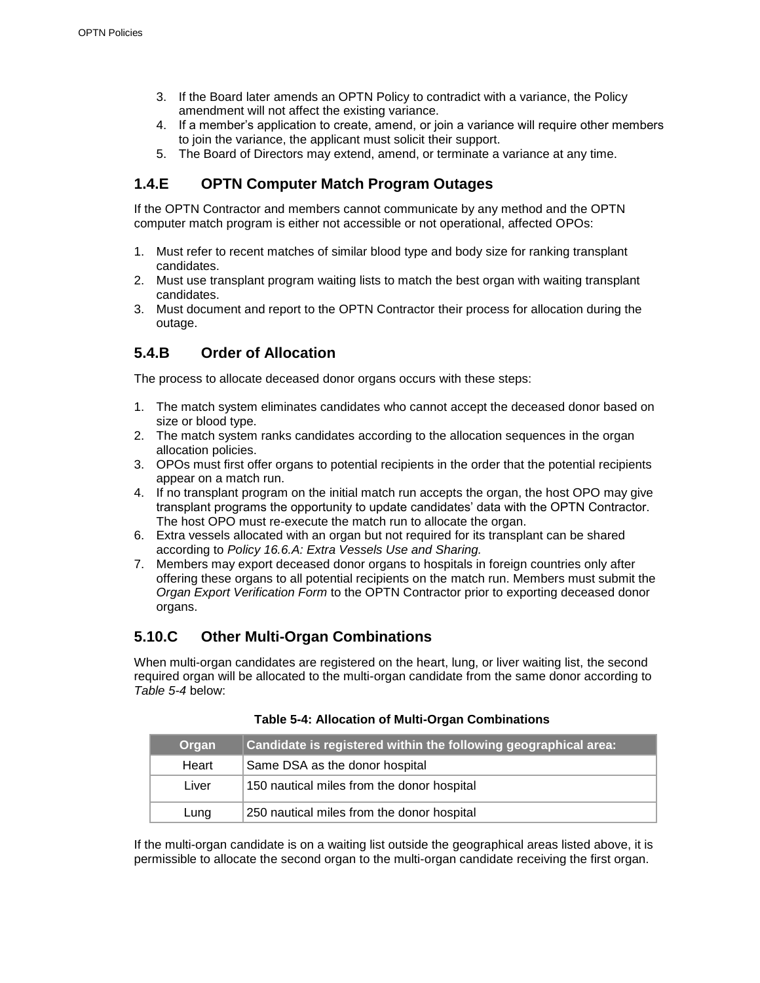- 3. If the Board later amends an OPTN Policy to contradict with a variance, the Policy amendment will not affect the existing variance.
- 4. If a member's application to create, amend, or join a variance will require other members to join the variance, the applicant must solicit their support.
- 5. The Board of Directors may extend, amend, or terminate a variance at any time.

### **1.4.E OPTN Computer Match Program Outages**

If the OPTN Contractor and members cannot communicate by any method and the OPTN computer match program is either not accessible or not operational, affected OPOs:

- 1. Must refer to recent matches of similar blood type and body size for ranking transplant candidates.
- 2. Must use transplant program waiting lists to match the best organ with waiting transplant candidates.
- 3. Must document and report to the OPTN Contractor their process for allocation during the outage.

### **5.4.B Order of Allocation**

The process to allocate deceased donor organs occurs with these steps:

- 1. The match system eliminates candidates who cannot accept the deceased donor based on size or blood type.
- 2. The match system ranks candidates according to the allocation sequences in the organ allocation policies.
- 3. OPOs must first offer organs to potential recipients in the order that the potential recipients appear on a match run.
- 4. If no transplant program on the initial match run accepts the organ, the host OPO may give transplant programs the opportunity to update candidates' data with the OPTN Contractor. The host OPO must re-execute the match run to allocate the organ.
- 6. Extra vessels allocated with an organ but not required for its transplant can be shared according to *Policy 16.6.A: Extra Vessels Use and Sharing.*
- 7. Members may export deceased donor organs to hospitals in foreign countries only after offering these organs to all potential recipients on the match run. Members must submit the *Organ Export Verification Form* to the OPTN Contractor prior to exporting deceased donor organs.

### **5.10.C Other Multi-Organ Combinations**

When multi-organ candidates are registered on the heart, lung, or liver waiting list, the second required organ will be allocated to the multi-organ candidate from the same donor according to *Table 5-4* below:

| <b>Organ</b> | Candidate is registered within the following geographical area: |
|--------------|-----------------------------------------------------------------|
| Heart        | Same DSA as the donor hospital                                  |
| Liver        | 150 nautical miles from the donor hospital                      |
| Lung         | 250 nautical miles from the donor hospital                      |

#### **Table 5-4: Allocation of Multi-Organ Combinations**

If the multi-organ candidate is on a waiting list outside the geographical areas listed above, it is permissible to allocate the second organ to the multi-organ candidate receiving the first organ.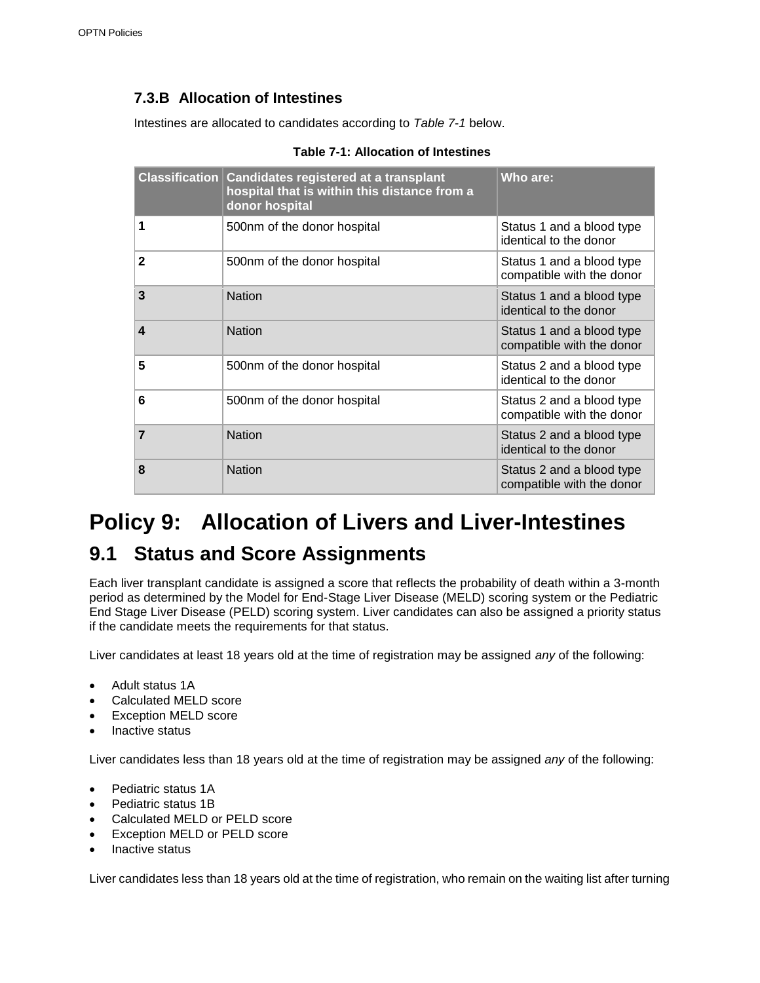### **7.3.B Allocation of Intestines**

Intestines are allocated to candidates according to *Table 7-1* below.

| <b>Classification</b> | <b>Candidates registered at a transplant</b><br>hospital that is within this distance from a<br>donor hospital | Who are:                                               |
|-----------------------|----------------------------------------------------------------------------------------------------------------|--------------------------------------------------------|
| 1                     | 500nm of the donor hospital                                                                                    | Status 1 and a blood type<br>identical to the donor    |
| $\mathbf 2$           | 500nm of the donor hospital                                                                                    | Status 1 and a blood type<br>compatible with the donor |
| 3                     | <b>Nation</b>                                                                                                  | Status 1 and a blood type<br>identical to the donor    |
| 4                     | <b>Nation</b>                                                                                                  | Status 1 and a blood type<br>compatible with the donor |
| 5                     | 500nm of the donor hospital                                                                                    | Status 2 and a blood type<br>identical to the donor    |
| 6                     | 500nm of the donor hospital                                                                                    | Status 2 and a blood type<br>compatible with the donor |
| $\overline{7}$        | <b>Nation</b>                                                                                                  | Status 2 and a blood type<br>identical to the donor    |
| 8                     | <b>Nation</b>                                                                                                  | Status 2 and a blood type<br>compatible with the donor |

#### **Table 7-1: Allocation of Intestines**

# **Policy 9: Allocation of Livers and Liver-Intestines**

## **9.1 Status and Score Assignments**

Each liver transplant candidate is assigned a score that reflects the probability of death within a 3-month period as determined by the Model for End-Stage Liver Disease (MELD) scoring system or the Pediatric End Stage Liver Disease (PELD) scoring system. Liver candidates can also be assigned a priority status if the candidate meets the requirements for that status.

Liver candidates at least 18 years old at the time of registration may be assigned *any* of the following:

- Adult status 1A
- Calculated MELD score
- Exception MELD score
- Inactive status

Liver candidates less than 18 years old at the time of registration may be assigned *any* of the following:

- Pediatric status 1A
- Pediatric status 1B
- Calculated MELD or PELD score
- Exception MELD or PELD score
- Inactive status

Liver candidates less than 18 years old at the time of registration, who remain on the waiting list after turning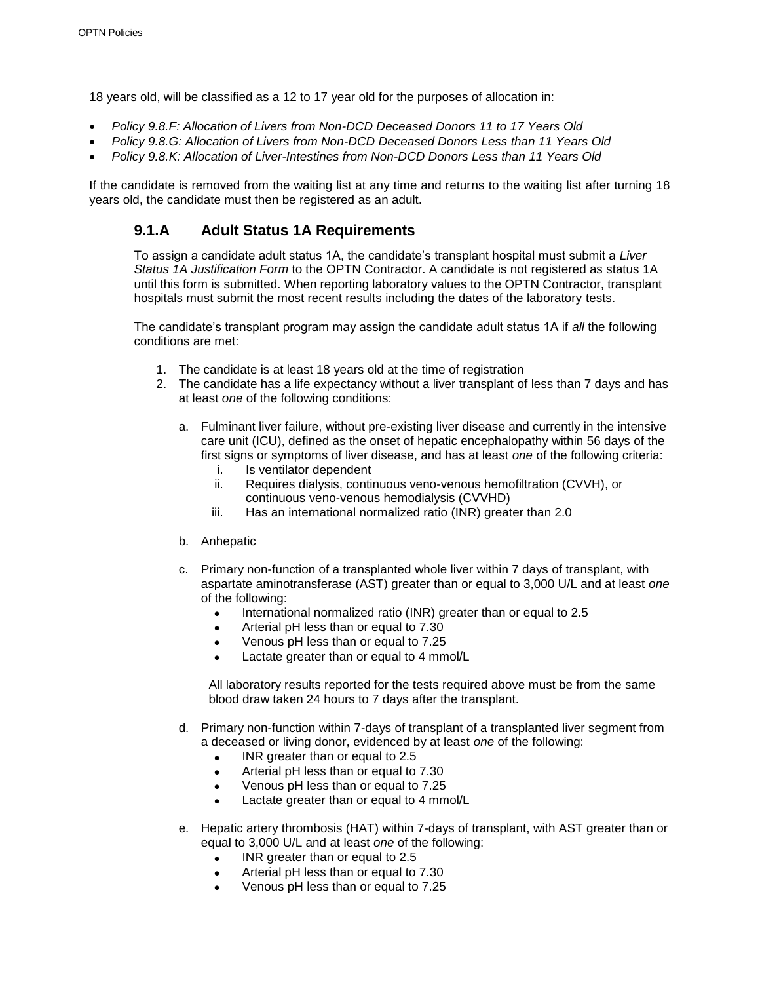18 years old, will be classified as a 12 to 17 year old for the purposes of allocation in:

- *Policy 9.8.F: Allocation of Livers from Non-DCD Deceased Donors 11 to 17 Years Old*
- *Policy 9.8.G: Allocation of Livers from Non-DCD Deceased Donors Less than 11 Years Old*
- *Policy 9.8.K: Allocation of Liver-Intestines from Non-DCD Donors Less than 11 Years Old*

If the candidate is removed from the waiting list at any time and returns to the waiting list after turning 18 years old, the candidate must then be registered as an adult.

### **9.1.A Adult Status 1A Requirements**

To assign a candidate adult status 1A, the candidate's transplant hospital must submit a *Liver Status 1A Justification Form* to the OPTN Contractor. A candidate is not registered as status 1A until this form is submitted. When reporting laboratory values to the OPTN Contractor, transplant hospitals must submit the most recent results including the dates of the laboratory tests.

The candidate's transplant program may assign the candidate adult status 1A if *all* the following conditions are met:

- 1. The candidate is at least 18 years old at the time of registration
- 2. The candidate has a life expectancy without a liver transplant of less than 7 days and has at least *one* of the following conditions:
	- a. Fulminant liver failure, without pre-existing liver disease and currently in the intensive care unit (ICU), defined as the onset of hepatic encephalopathy within 56 days of the first signs or symptoms of liver disease, and has at least *one* of the following criteria:
		- i. Is ventilator dependent
		- ii. Requires dialysis, continuous veno-venous hemofiltration (CVVH), or continuous veno-venous hemodialysis (CVVHD)
		- iii. Has an international normalized ratio (INR) greater than 2.0
	- b. Anhepatic
	- c. Primary non-function of a transplanted whole liver within 7 days of transplant, with aspartate aminotransferase (AST) greater than or equal to 3,000 U/L and at least *one* of the following:
		- International normalized ratio (INR) greater than or equal to 2.5
		- Arterial pH less than or equal to 7.30
		- Venous pH less than or equal to 7.25
		- Lactate greater than or equal to 4 mmol/L

All laboratory results reported for the tests required above must be from the same blood draw taken 24 hours to 7 days after the transplant.

- d. Primary non-function within 7-days of transplant of a transplanted liver segment from a deceased or living donor, evidenced by at least *one* of the following:
	- INR greater than or equal to 2.5
	- Arterial pH less than or equal to 7.30
	- Venous pH less than or equal to 7.25
	- Lactate greater than or equal to 4 mmol/L
- e. Hepatic artery thrombosis (HAT) within 7-days of transplant, with AST greater than or equal to 3,000 U/L and at least *one* of the following:
	- INR greater than or equal to 2.5
	- Arterial pH less than or equal to 7.30
	- Venous pH less than or equal to 7.25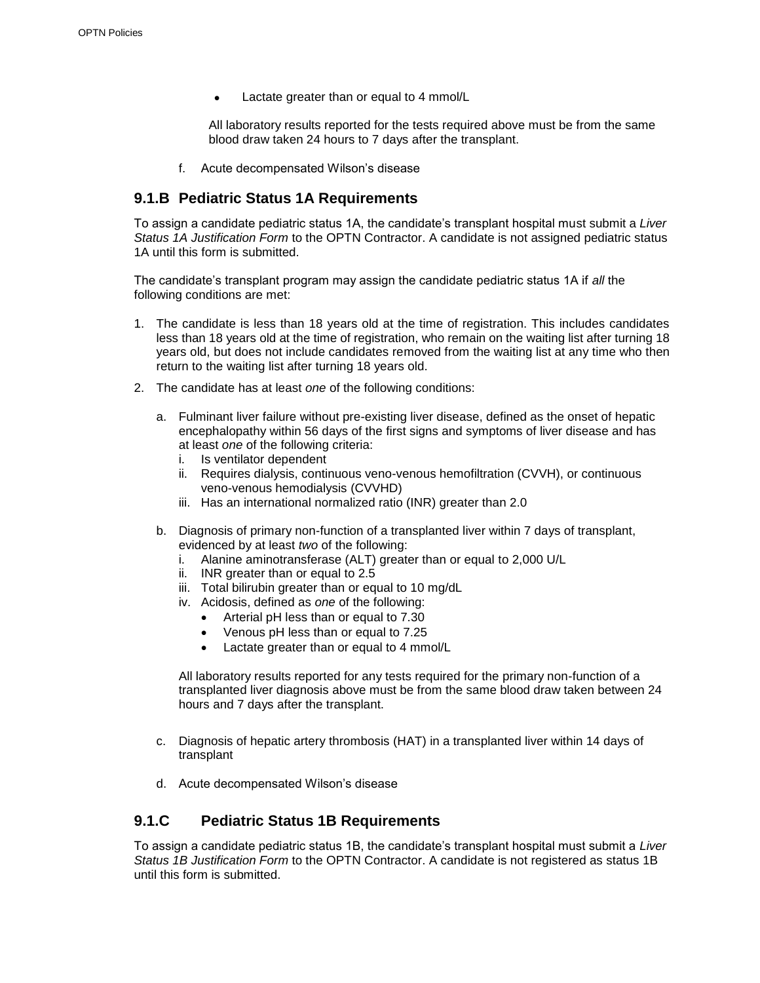• Lactate greater than or equal to 4 mmol/L

All laboratory results reported for the tests required above must be from the same blood draw taken 24 hours to 7 days after the transplant.

f. Acute decompensated Wilson's disease

### **9.1.B Pediatric Status 1A Requirements**

To assign a candidate pediatric status 1A, the candidate's transplant hospital must submit a *Liver Status 1A Justification Form* to the OPTN Contractor. A candidate is not assigned pediatric status 1A until this form is submitted.

The candidate's transplant program may assign the candidate pediatric status 1A if *all* the following conditions are met:

- 1. The candidate is less than 18 years old at the time of registration. This includes candidates less than 18 years old at the time of registration, who remain on the waiting list after turning 18 years old, but does not include candidates removed from the waiting list at any time who then return to the waiting list after turning 18 years old.
- 2. The candidate has at least *one* of the following conditions:
	- a. Fulminant liver failure without pre-existing liver disease, defined as the onset of hepatic encephalopathy within 56 days of the first signs and symptoms of liver disease and has at least *one* of the following criteria:
		- i. Is ventilator dependent
		- ii. Requires dialysis, continuous veno-venous hemofiltration (CVVH), or continuous veno-venous hemodialysis (CVVHD)
		- iii. Has an international normalized ratio (INR) greater than 2.0
	- b. Diagnosis of primary non-function of a transplanted liver within 7 days of transplant, evidenced by at least *two* of the following:
		- i. Alanine aminotransferase (ALT) greater than or equal to 2,000 U/L
		- ii. INR greater than or equal to 2.5
		- iii. Total bilirubin greater than or equal to 10 mg/dL
		- iv. Acidosis, defined as *one* of the following:
			- Arterial pH less than or equal to 7.30
			- Venous pH less than or equal to 7.25
			- Lactate greater than or equal to 4 mmol/L

All laboratory results reported for any tests required for the primary non-function of a transplanted liver diagnosis above must be from the same blood draw taken between 24 hours and 7 days after the transplant.

- c. Diagnosis of hepatic artery thrombosis (HAT) in a transplanted liver within 14 days of transplant
- d. Acute decompensated Wilson's disease

#### **9.1.C Pediatric Status 1B Requirements**

To assign a candidate pediatric status 1B, the candidate's transplant hospital must submit a *Liver Status 1B Justification Form* to the OPTN Contractor. A candidate is not registered as status 1B until this form is submitted.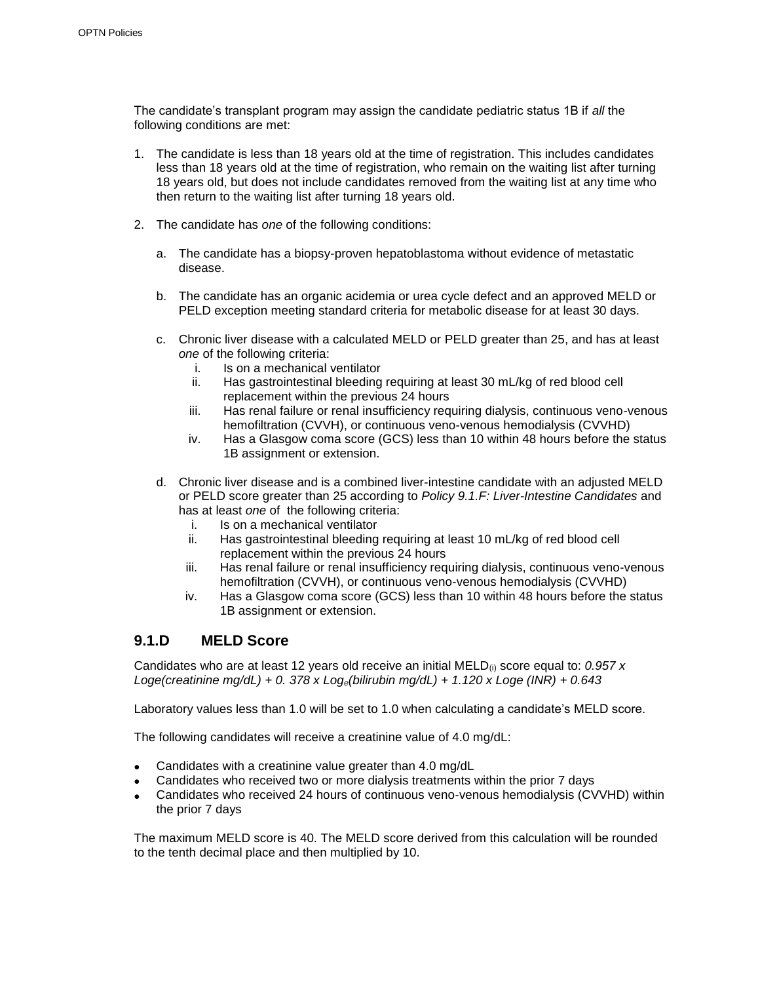The candidate's transplant program may assign the candidate pediatric status 1B if *all* the following conditions are met:

- 1. The candidate is less than 18 years old at the time of registration. This includes candidates less than 18 years old at the time of registration, who remain on the waiting list after turning 18 years old, but does not include candidates removed from the waiting list at any time who then return to the waiting list after turning 18 years old.
- 2. The candidate has *one* of the following conditions:
	- a. The candidate has a biopsy-proven hepatoblastoma without evidence of metastatic disease.
	- b. The candidate has an organic acidemia or urea cycle defect and an approved MELD or PELD exception meeting standard criteria for metabolic disease for at least 30 days.
	- c. Chronic liver disease with a calculated MELD or PELD greater than 25, and has at least *one* of the following criteria:
		- i. Is on a mechanical ventilator
		- ii. Has gastrointestinal bleeding requiring at least 30 mL/kg of red blood cell replacement within the previous 24 hours
		- iii. Has renal failure or renal insufficiency requiring dialysis, continuous veno-venous hemofiltration (CVVH), or continuous veno-venous hemodialysis (CVVHD)
		- iv. Has a Glasgow coma score (GCS) less than 10 within 48 hours before the status 1B assignment or extension.
	- d. Chronic liver disease and is a combined liver-intestine candidate with an adjusted MELD or PELD score greater than 25 according to *Policy 9.1.F: Liver-Intestine Candidates* and has at least *one* of the following criteria:
		- i. Is on a mechanical ventilator<br>ii. Has gastrointestinal bleeding
		- Has gastrointestinal bleeding requiring at least 10 mL/kg of red blood cell replacement within the previous 24 hours
		- iii. Has renal failure or renal insufficiency requiring dialysis, continuous veno-venous hemofiltration (CVVH), or continuous veno-venous hemodialysis (CVVHD)
		- iv. Has a Glasgow coma score (GCS) less than 10 within 48 hours before the status 1B assignment or extension.

#### **9.1.D MELD Score**

Candidates who are at least 12 years old receive an initial MELD(i) score equal to: *0.957 x Loge(creatinine mg/dL) + 0. 378 x Loge(bilirubin mg/dL) + 1.120 x Loge (INR) + 0.643*

Laboratory values less than 1.0 will be set to 1.0 when calculating a candidate's MELD score.

The following candidates will receive a creatinine value of 4.0 mg/dL:

- Candidates with a creatinine value greater than 4.0 mg/dL
- Candidates who received two or more dialysis treatments within the prior 7 days
- Candidates who received 24 hours of continuous veno-venous hemodialysis (CVVHD) within the prior 7 days

The maximum MELD score is 40. The MELD score derived from this calculation will be rounded to the tenth decimal place and then multiplied by 10.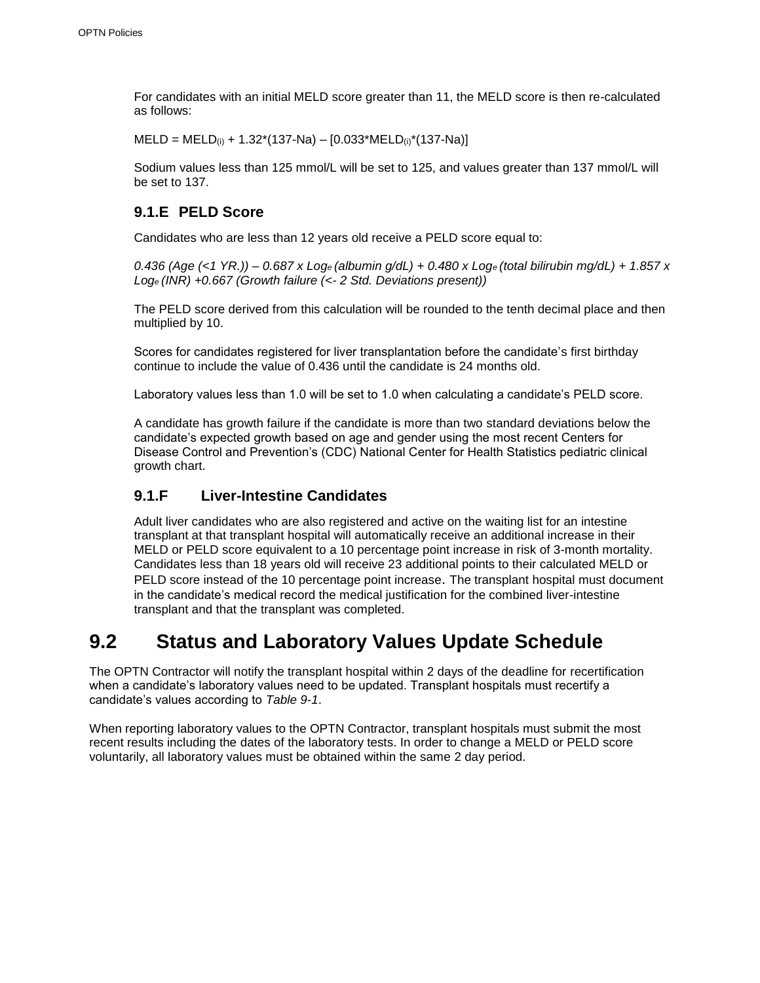For candidates with an initial MELD score greater than 11, the MELD score is then re-calculated as follows:

 $MELD = MELD_{(i)} + 1.32*(137-Na) - [0.033*MELD_{(i)}*(137-Na)]$ 

Sodium values less than 125 mmol/L will be set to 125, and values greater than 137 mmol/L will be set to 137.

### **9.1.E PELD Score**

Candidates who are less than 12 years old receive a PELD score equal to:

*0.436 (Age (<1 YR.)) – 0.687 x Loge (albumin g/dL) + 0.480 x Loge (total bilirubin mg/dL) + 1.857 x Loge (INR) +0.667 (Growth failure (<- 2 Std. Deviations present))*

The PELD score derived from this calculation will be rounded to the tenth decimal place and then multiplied by 10.

Scores for candidates registered for liver transplantation before the candidate's first birthday continue to include the value of 0.436 until the candidate is 24 months old.

Laboratory values less than 1.0 will be set to 1.0 when calculating a candidate's PELD score.

A candidate has growth failure if the candidate is more than two standard deviations below the candidate's expected growth based on age and gender using the most recent Centers for Disease Control and Prevention's (CDC) National Center for Health Statistics pediatric clinical growth chart.

### **9.1.F Liver-Intestine Candidates**

Adult liver candidates who are also registered and active on the waiting list for an intestine transplant at that transplant hospital will automatically receive an additional increase in their MELD or PELD score equivalent to a 10 percentage point increase in risk of 3-month mortality. Candidates less than 18 years old will receive 23 additional points to their calculated MELD or PELD score instead of the 10 percentage point increase. The transplant hospital must document in the candidate's medical record the medical justification for the combined liver-intestine transplant and that the transplant was completed.

## **9.2 Status and Laboratory Values Update Schedule**

The OPTN Contractor will notify the transplant hospital within 2 days of the deadline for recertification when a candidate's laboratory values need to be updated. Transplant hospitals must recertify a candidate's values according to *Table 9-1*.

When reporting laboratory values to the OPTN Contractor, transplant hospitals must submit the most recent results including the dates of the laboratory tests. In order to change a MELD or PELD score voluntarily, all laboratory values must be obtained within the same 2 day period.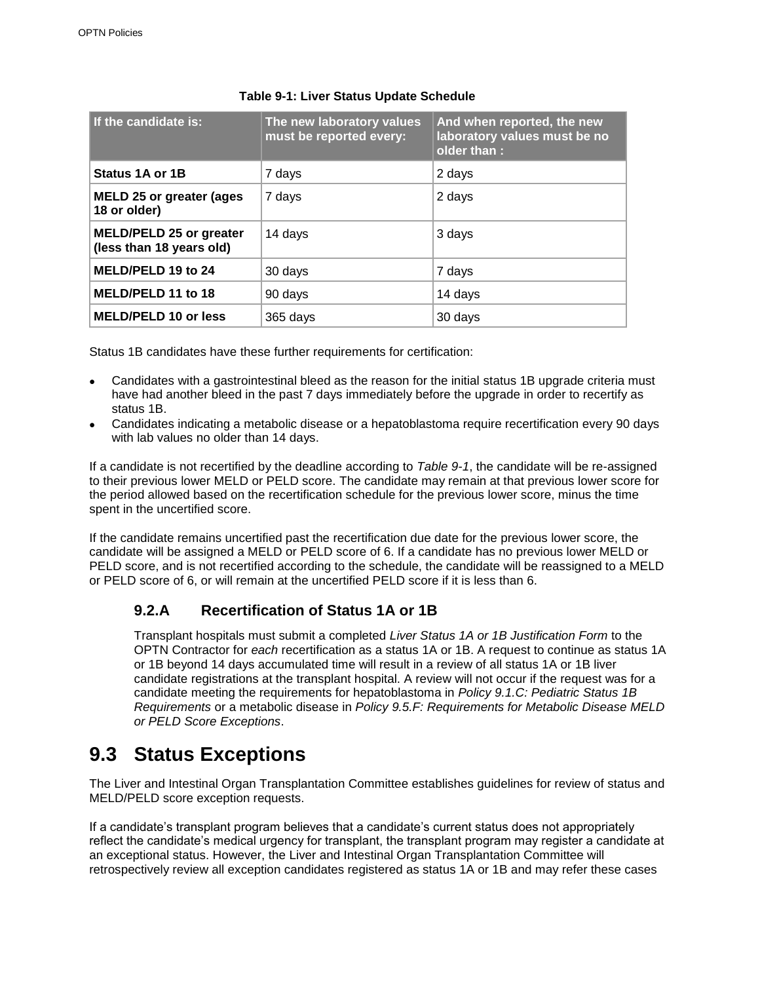| If the candidate is:                                       | The new laboratory values<br>must be reported every: | And when reported, the new<br>laboratory values must be no<br>older than : |
|------------------------------------------------------------|------------------------------------------------------|----------------------------------------------------------------------------|
| Status 1A or 1B                                            | 7 days                                               | 2 days                                                                     |
| <b>MELD 25 or greater (ages)</b><br>18 or older)           | 7 days                                               | 2 days                                                                     |
| <b>MELD/PELD 25 or greater</b><br>(less than 18 years old) | 14 days                                              | 3 days                                                                     |
| MELD/PELD 19 to 24                                         | 30 days                                              | 7 days                                                                     |
| MELD/PELD 11 to 18                                         | 90 days                                              | 14 days                                                                    |
| <b>MELD/PELD 10 or less</b>                                | 365 days                                             | 30 days                                                                    |

#### **Table 9-1: Liver Status Update Schedule**

Status 1B candidates have these further requirements for certification:

- Candidates with a gastrointestinal bleed as the reason for the initial status 1B upgrade criteria must have had another bleed in the past 7 days immediately before the upgrade in order to recertify as status 1B.
- Candidates indicating a metabolic disease or a hepatoblastoma require recertification every 90 days with lab values no older than 14 days.

If a candidate is not recertified by the deadline according to *Table 9-1*, the candidate will be re-assigned to their previous lower MELD or PELD score. The candidate may remain at that previous lower score for the period allowed based on the recertification schedule for the previous lower score, minus the time spent in the uncertified score.

If the candidate remains uncertified past the recertification due date for the previous lower score, the candidate will be assigned a MELD or PELD score of 6. If a candidate has no previous lower MELD or PELD score, and is not recertified according to the schedule, the candidate will be reassigned to a MELD or PELD score of 6, or will remain at the uncertified PELD score if it is less than 6.

### **9.2.A Recertification of Status 1A or 1B**

Transplant hospitals must submit a completed *Liver Status 1A or 1B Justification Form* to the OPTN Contractor for *each* recertification as a status 1A or 1B. A request to continue as status 1A or 1B beyond 14 days accumulated time will result in a review of all status 1A or 1B liver candidate registrations at the transplant hospital. A review will not occur if the request was for a candidate meeting the requirements for hepatoblastoma in *Policy 9.1.C: Pediatric Status 1B Requirements* or a metabolic disease in *Policy 9.5.F: Requirements for Metabolic Disease MELD or PELD Score Exceptions*.

## **9.3 Status Exceptions**

The Liver and Intestinal Organ Transplantation Committee establishes guidelines for review of status and MELD/PELD score exception requests.

If a candidate's transplant program believes that a candidate's current status does not appropriately reflect the candidate's medical urgency for transplant, the transplant program may register a candidate at an exceptional status. However, the Liver and Intestinal Organ Transplantation Committee will retrospectively review all exception candidates registered as status 1A or 1B and may refer these cases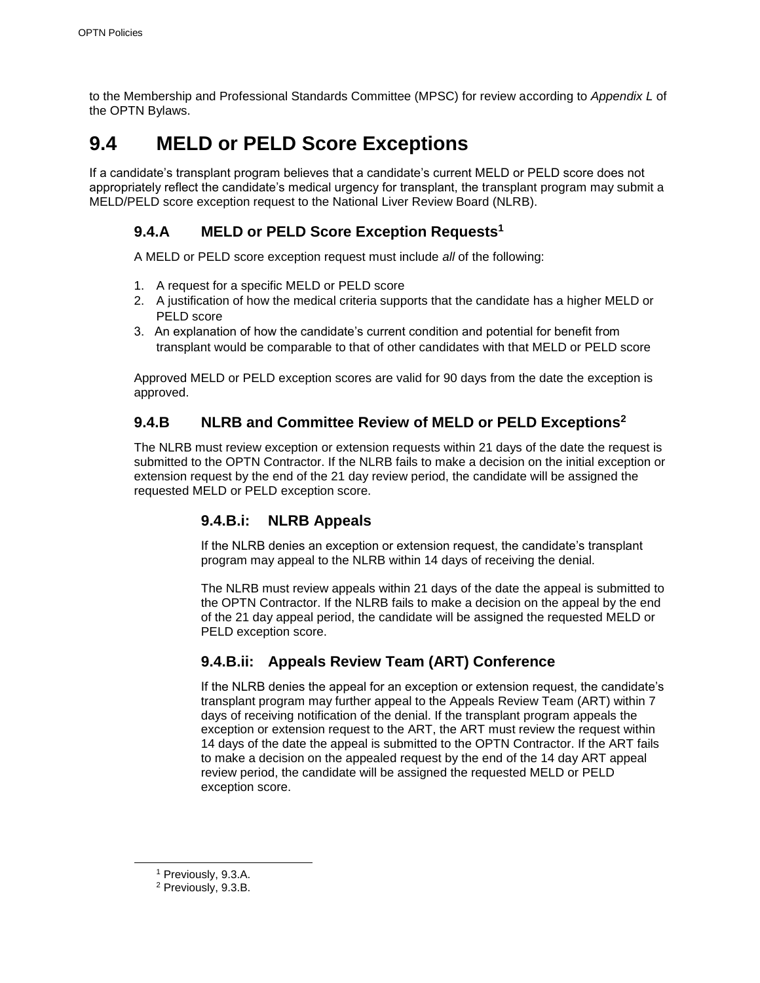to the Membership and Professional Standards Committee (MPSC) for review according to *Appendix L* of the OPTN Bylaws.

## **9.4 MELD or PELD Score Exceptions**

If a candidate's transplant program believes that a candidate's current MELD or PELD score does not appropriately reflect the candidate's medical urgency for transplant, the transplant program may submit a MELD/PELD score exception request to the National Liver Review Board (NLRB).

### **9.4.A MELD or PELD Score Exception Requests<sup>1</sup>**

A MELD or PELD score exception request must include *all* of the following:

- 1. A request for a specific MELD or PELD score
- 2. A justification of how the medical criteria supports that the candidate has a higher MELD or PELD score
- 3. An explanation of how the candidate's current condition and potential for benefit from transplant would be comparable to that of other candidates with that MELD or PELD score

Approved MELD or PELD exception scores are valid for 90 days from the date the exception is approved.

### **9.4.B NLRB and Committee Review of MELD or PELD Exceptions<sup>2</sup>**

The NLRB must review exception or extension requests within 21 days of the date the request is submitted to the OPTN Contractor. If the NLRB fails to make a decision on the initial exception or extension request by the end of the 21 day review period, the candidate will be assigned the requested MELD or PELD exception score.

### **9.4.B.i: NLRB Appeals**

If the NLRB denies an exception or extension request, the candidate's transplant program may appeal to the NLRB within 14 days of receiving the denial.

The NLRB must review appeals within 21 days of the date the appeal is submitted to the OPTN Contractor. If the NLRB fails to make a decision on the appeal by the end of the 21 day appeal period, the candidate will be assigned the requested MELD or PELD exception score.

### **9.4.B.ii: Appeals Review Team (ART) Conference**

If the NLRB denies the appeal for an exception or extension request, the candidate's transplant program may further appeal to the Appeals Review Team (ART) within 7 days of receiving notification of the denial. If the transplant program appeals the exception or extension request to the ART, the ART must review the request within 14 days of the date the appeal is submitted to the OPTN Contractor. If the ART fails to make a decision on the appealed request by the end of the 14 day ART appeal review period, the candidate will be assigned the requested MELD or PELD exception score.

<sup>1</sup> Previously, 9.3.A.

<sup>2</sup> Previously, 9.3.B.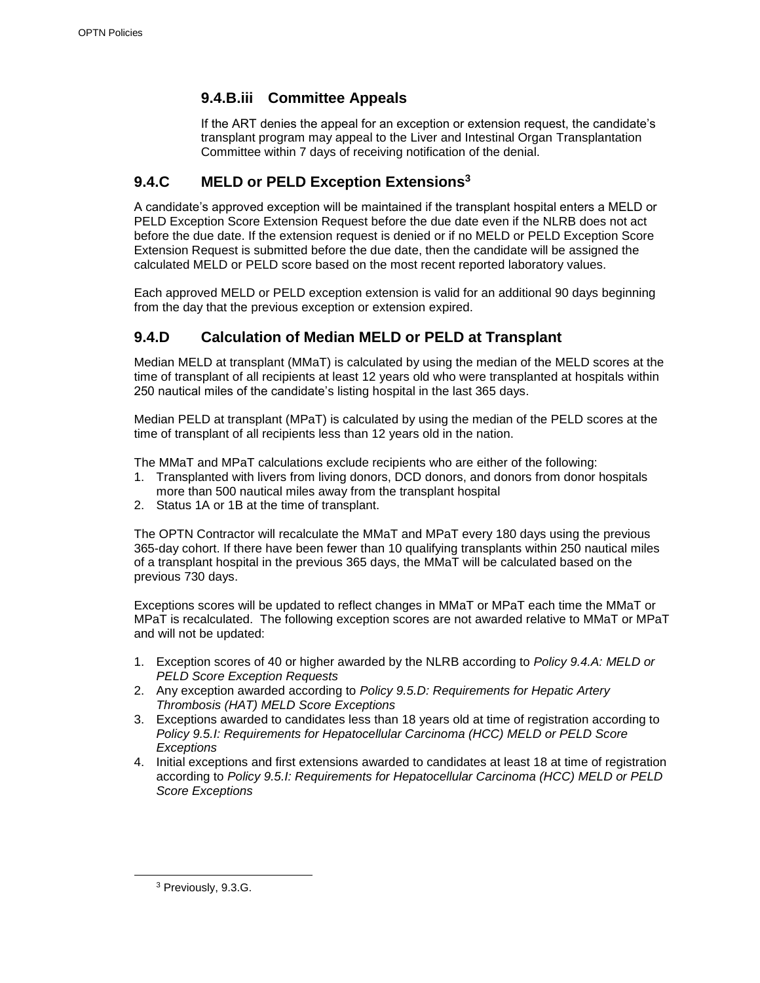### **9.4.B.iii Committee Appeals**

If the ART denies the appeal for an exception or extension request, the candidate's transplant program may appeal to the Liver and Intestinal Organ Transplantation Committee within 7 days of receiving notification of the denial.

### **9.4.C MELD or PELD Exception Extensions<sup>3</sup>**

A candidate's approved exception will be maintained if the transplant hospital enters a MELD or PELD Exception Score Extension Request before the due date even if the NLRB does not act before the due date. If the extension request is denied or if no MELD or PELD Exception Score Extension Request is submitted before the due date, then the candidate will be assigned the calculated MELD or PELD score based on the most recent reported laboratory values.

Each approved MELD or PELD exception extension is valid for an additional 90 days beginning from the day that the previous exception or extension expired.

### **9.4.D Calculation of Median MELD or PELD at Transplant**

Median MELD at transplant (MMaT) is calculated by using the median of the MELD scores at the time of transplant of all recipients at least 12 years old who were transplanted at hospitals within 250 nautical miles of the candidate's listing hospital in the last 365 days.

Median PELD at transplant (MPaT) is calculated by using the median of the PELD scores at the time of transplant of all recipients less than 12 years old in the nation.

The MMaT and MPaT calculations exclude recipients who are either of the following:

- 1. Transplanted with livers from living donors, DCD donors, and donors from donor hospitals more than 500 nautical miles away from the transplant hospital
- 2. Status 1A or 1B at the time of transplant.

The OPTN Contractor will recalculate the MMaT and MPaT every 180 days using the previous 365-day cohort. If there have been fewer than 10 qualifying transplants within 250 nautical miles of a transplant hospital in the previous 365 days, the MMaT will be calculated based on the previous 730 days.

Exceptions scores will be updated to reflect changes in MMaT or MPaT each time the MMaT or MPaT is recalculated. The following exception scores are not awarded relative to MMaT or MPaT and will not be updated:

- 1. Exception scores of 40 or higher awarded by the NLRB according to *Policy 9.4.A: MELD or PELD Score Exception Requests*
- 2. Any exception awarded according to *Policy 9.5.D: Requirements for Hepatic Artery Thrombosis (HAT) MELD Score Exceptions*
- 3. Exceptions awarded to candidates less than 18 years old at time of registration according to *Policy 9.5.I: Requirements for Hepatocellular Carcinoma (HCC) MELD or PELD Score Exceptions*
- 4. Initial exceptions and first extensions awarded to candidates at least 18 at time of registration according to *Policy 9.5.I: Requirements for Hepatocellular Carcinoma (HCC) MELD or PELD Score Exceptions*

<sup>3</sup> Previously, 9.3.G.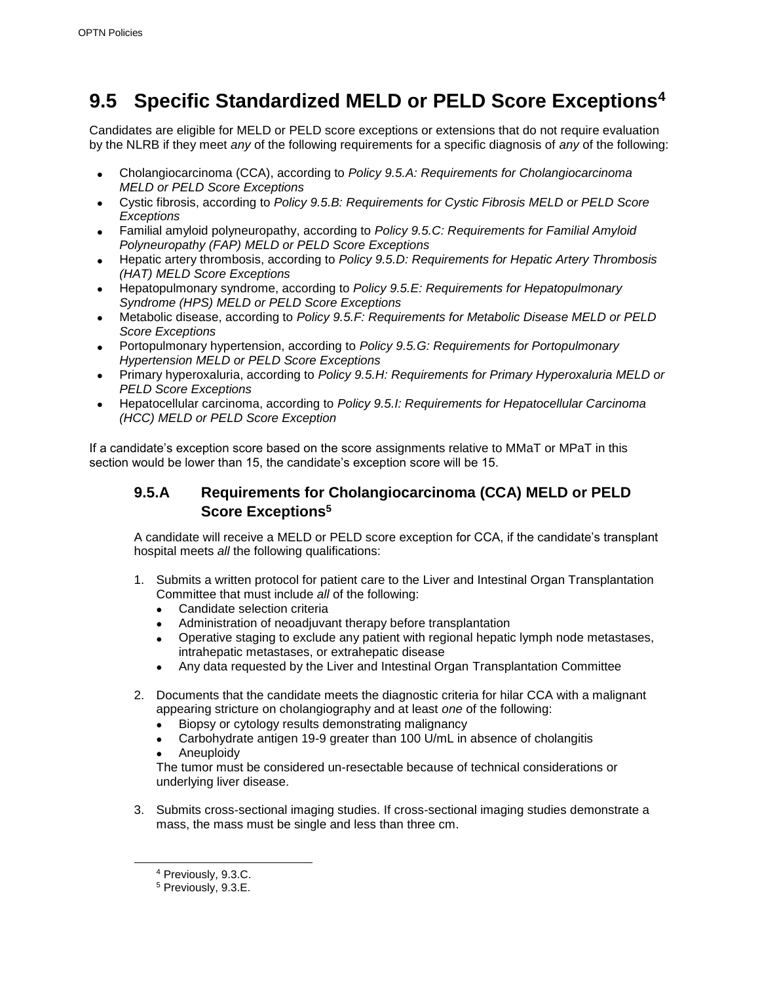## **9.5 Specific Standardized MELD or PELD Score Exceptions<sup>4</sup>**

Candidates are eligible for MELD or PELD score exceptions or extensions that do not require evaluation by the NLRB if they meet *any* of the following requirements for a specific diagnosis of *any* of the following:

- Cholangiocarcinoma (CCA), according to *Policy 9.5.A: Requirements for Cholangiocarcinoma MELD or PELD Score Exceptions*
- Cystic fibrosis, according to *Policy 9.5.B: Requirements for Cystic Fibrosis MELD or PELD Score Exceptions*
- Familial amyloid polyneuropathy, according to *Policy 9.5.C: Requirements for Familial Amyloid Polyneuropathy (FAP) MELD or PELD Score Exceptions*
- Hepatic artery thrombosis, according to *Policy 9.5.D: Requirements for Hepatic Artery Thrombosis (HAT) MELD Score Exceptions*
- Hepatopulmonary syndrome, according to *Policy 9.5.E: Requirements for Hepatopulmonary Syndrome (HPS) MELD or PELD Score Exceptions*
- Metabolic disease, according to *Policy 9.5.F: Requirements for Metabolic Disease MELD or PELD Score Exceptions*
- Portopulmonary hypertension, according to *Policy 9.5.G: Requirements for Portopulmonary Hypertension MELD or PELD Score Exceptions*
- Primary hyperoxaluria, according to *Policy 9.5.H: Requirements for Primary Hyperoxaluria MELD or PELD Score Exceptions*
- Hepatocellular carcinoma, according to *Policy 9.5.I: Requirements for Hepatocellular Carcinoma (HCC) MELD or PELD Score Exception*

If a candidate's exception score based on the score assignments relative to MMaT or MPaT in this section would be lower than 15, the candidate's exception score will be 15.

### **9.5.A Requirements for Cholangiocarcinoma (CCA) MELD or PELD Score Exceptions<sup>5</sup>**

A candidate will receive a MELD or PELD score exception for CCA, if the candidate's transplant hospital meets *all* the following qualifications:

- 1. Submits a written protocol for patient care to the Liver and Intestinal Organ Transplantation Committee that must include *all* of the following:
	- Candidate selection criteria
	- Administration of neoadjuvant therapy before transplantation
	- Operative staging to exclude any patient with regional hepatic lymph node metastases, intrahepatic metastases, or extrahepatic disease
	- Any data requested by the Liver and Intestinal Organ Transplantation Committee
- 2. Documents that the candidate meets the diagnostic criteria for hilar CCA with a malignant appearing stricture on cholangiography and at least *one* of the following:
	- Biopsy or cytology results demonstrating malignancy
	- Carbohydrate antigen 19-9 greater than 100 U/mL in absence of cholangitis
	- Aneuploidy

The tumor must be considered un-resectable because of technical considerations or underlying liver disease.

3. Submits cross-sectional imaging studies. If cross-sectional imaging studies demonstrate a mass, the mass must be single and less than three cm.

<sup>4</sup> Previously, 9.3.C.

<sup>5</sup> Previously, 9.3.E.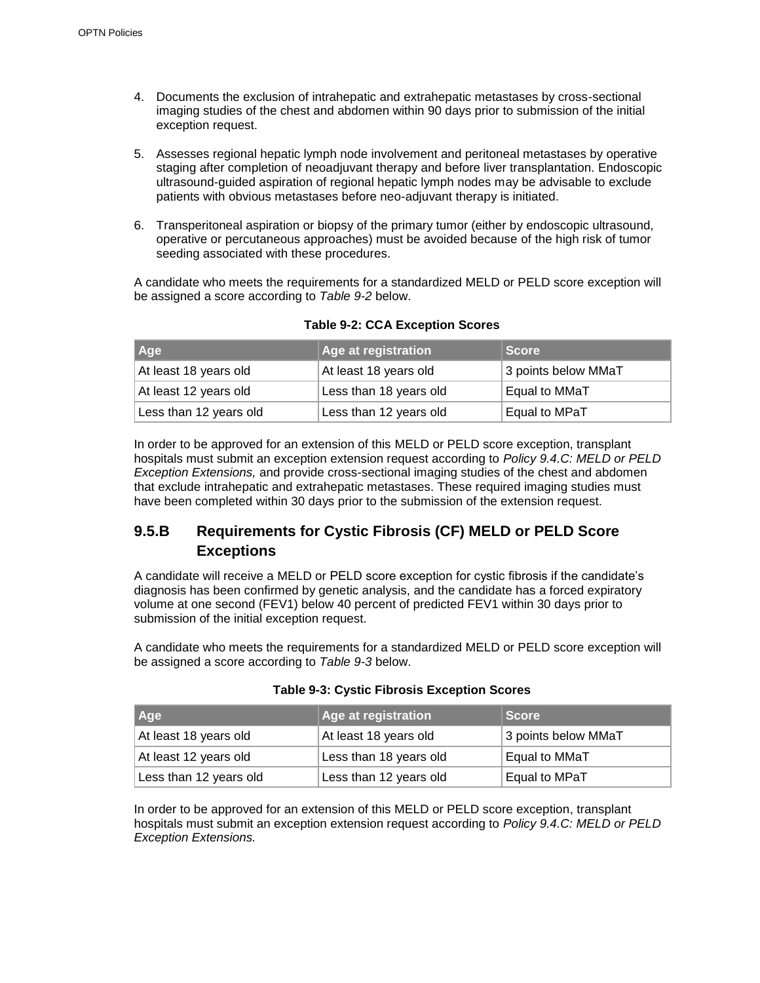- 4. Documents the exclusion of intrahepatic and extrahepatic metastases by cross-sectional imaging studies of the chest and abdomen within 90 days prior to submission of the initial exception request.
- 5. Assesses regional hepatic lymph node involvement and peritoneal metastases by operative staging after completion of neoadjuvant therapy and before liver transplantation. Endoscopic ultrasound-guided aspiration of regional hepatic lymph nodes may be advisable to exclude patients with obvious metastases before neo-adjuvant therapy is initiated.
- 6. Transperitoneal aspiration or biopsy of the primary tumor (either by endoscopic ultrasound, operative or percutaneous approaches) must be avoided because of the high risk of tumor seeding associated with these procedures.

A candidate who meets the requirements for a standardized MELD or PELD score exception will be assigned a score according to *Table 9-2* below.

| Age                    | Age at registration    | <b>Score</b>        |
|------------------------|------------------------|---------------------|
| At least 18 years old  | At least 18 years old  | 3 points below MMaT |
| At least 12 years old  | Less than 18 years old | Equal to MMaT       |
| Less than 12 years old | Less than 12 years old | Equal to MPaT       |

**Table 9-2: CCA Exception Scores**

In order to be approved for an extension of this MELD or PELD score exception, transplant hospitals must submit an exception extension request according to *Policy 9.4.C: MELD or PELD Exception Extensions,* and provide cross-sectional imaging studies of the chest and abdomen that exclude intrahepatic and extrahepatic metastases. These required imaging studies must have been completed within 30 days prior to the submission of the extension request.

### **9.5.B Requirements for Cystic Fibrosis (CF) MELD or PELD Score Exceptions**

A candidate will receive a MELD or PELD score exception for cystic fibrosis if the candidate's diagnosis has been confirmed by genetic analysis, and the candidate has a forced expiratory volume at one second (FEV1) below 40 percent of predicted FEV1 within 30 days prior to submission of the initial exception request.

A candidate who meets the requirements for a standardized MELD or PELD score exception will be assigned a score according to *Table 9-3* below.

| Age                    | <b>Age at registration</b> | <b>Score</b>        |
|------------------------|----------------------------|---------------------|
| At least 18 years old  | At least 18 years old      | 3 points below MMaT |
| At least 12 years old  | Less than 18 years old     | Equal to MMaT       |
| Less than 12 years old | Less than 12 years old     | Equal to MPaT       |

| <b>Table 9-3: Cystic Fibrosis Exception Scores</b> |  |  |
|----------------------------------------------------|--|--|
|----------------------------------------------------|--|--|

In order to be approved for an extension of this MELD or PELD score exception, transplant hospitals must submit an exception extension request according to *Policy 9.4.C: MELD or PELD Exception Extensions.*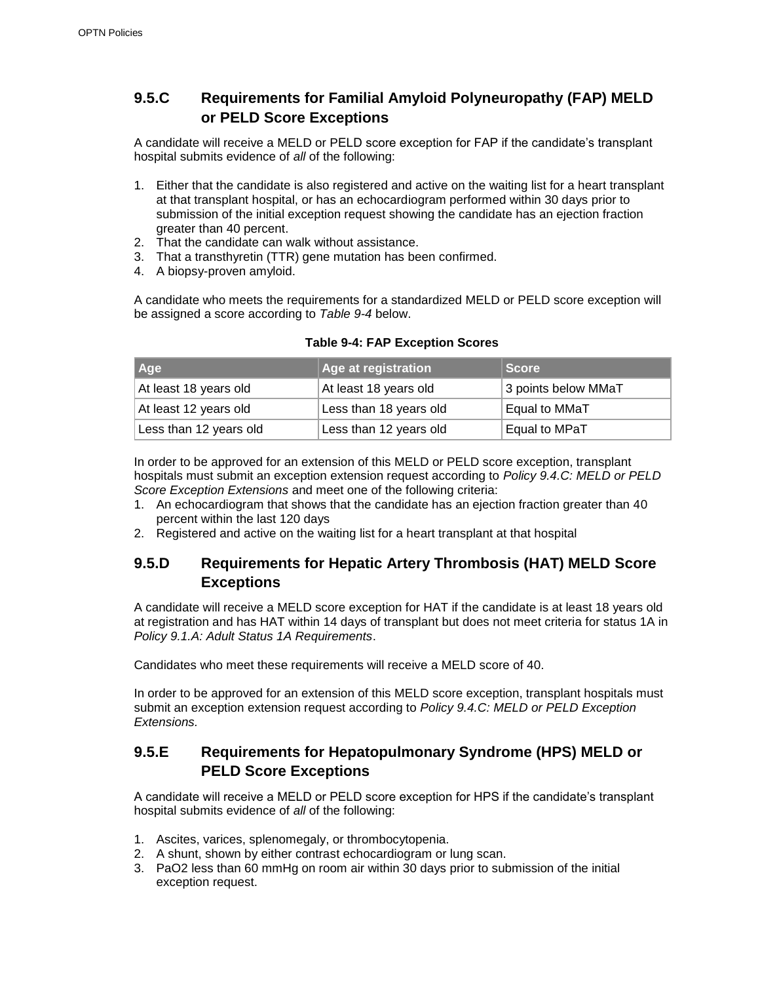### **9.5.C Requirements for Familial Amyloid Polyneuropathy (FAP) MELD or PELD Score Exceptions**

A candidate will receive a MELD or PELD score exception for FAP if the candidate's transplant hospital submits evidence of *all* of the following:

- 1. Either that the candidate is also registered and active on the waiting list for a heart transplant at that transplant hospital, or has an echocardiogram performed within 30 days prior to submission of the initial exception request showing the candidate has an ejection fraction greater than 40 percent.
- 2. That the candidate can walk without assistance.
- 3. That a transthyretin (TTR) gene mutation has been confirmed.
- 4. A biopsy-proven amyloid.

A candidate who meets the requirements for a standardized MELD or PELD score exception will be assigned a score according to *Table 9-4* below.

| <b>Age</b>             | Age at registration    | <b>Score</b>        |
|------------------------|------------------------|---------------------|
| At least 18 years old  | At least 18 years old  | 3 points below MMaT |
| At least 12 years old  | Less than 18 years old | Equal to MMaT       |
| Less than 12 years old | Less than 12 years old | Equal to MPaT       |

#### **Table 9-4: FAP Exception Scores**

In order to be approved for an extension of this MELD or PELD score exception, transplant hospitals must submit an exception extension request according to *Policy 9.4.C: MELD or PELD Score Exception Extensions* and meet one of the following criteria:

- 1. An echocardiogram that shows that the candidate has an ejection fraction greater than 40 percent within the last 120 days
- 2. Registered and active on the waiting list for a heart transplant at that hospital

### **9.5.D Requirements for Hepatic Artery Thrombosis (HAT) MELD Score Exceptions**

A candidate will receive a MELD score exception for HAT if the candidate is at least 18 years old at registration and has HAT within 14 days of transplant but does not meet criteria for status 1A in *Policy 9.1.A: Adult Status 1A Requirements*.

Candidates who meet these requirements will receive a MELD score of 40.

In order to be approved for an extension of this MELD score exception, transplant hospitals must submit an exception extension request according to *Policy 9.4.C: MELD or PELD Exception Extensions.*

### **9.5.E Requirements for Hepatopulmonary Syndrome (HPS) MELD or PELD Score Exceptions**

A candidate will receive a MELD or PELD score exception for HPS if the candidate's transplant hospital submits evidence of *all* of the following:

- 1. Ascites, varices, splenomegaly, or thrombocytopenia.
- 2. A shunt, shown by either contrast echocardiogram or lung scan.
- 3. PaO2 less than 60 mmHg on room air within 30 days prior to submission of the initial exception request.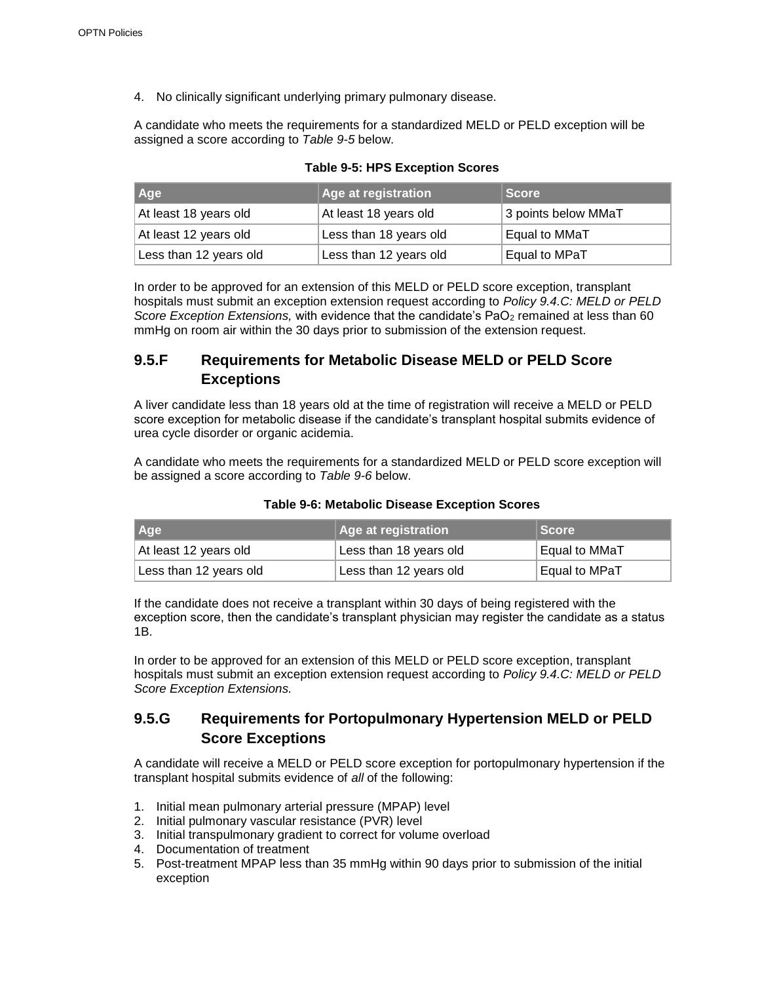4. No clinically significant underlying primary pulmonary disease.

A candidate who meets the requirements for a standardized MELD or PELD exception will be assigned a score according to *Table 9-5* below.

| ∥Age∶                  | <b>Age at registration</b> | <b>Score</b>        |
|------------------------|----------------------------|---------------------|
| At least 18 years old  | At least 18 years old      | 3 points below MMaT |
| At least 12 years old  | Less than 18 years old     | Equal to MMaT       |
| Less than 12 years old | Less than 12 years old     | Equal to MPaT       |

**Table 9-5: HPS Exception Scores**

In order to be approved for an extension of this MELD or PELD score exception, transplant hospitals must submit an exception extension request according to *Policy 9.4.C: MELD or PELD Score Exception Extensions, with evidence that the candidate's PaO<sub>2</sub> remained at less than 60* mmHg on room air within the 30 days prior to submission of the extension request.

### **9.5.F Requirements for Metabolic Disease MELD or PELD Score Exceptions**

A liver candidate less than 18 years old at the time of registration will receive a MELD or PELD score exception for metabolic disease if the candidate's transplant hospital submits evidence of urea cycle disorder or organic acidemia.

A candidate who meets the requirements for a standardized MELD or PELD score exception will be assigned a score according to *Table 9-6* below.

| <b>Age</b>             | Age at registration    | ∣Score        |
|------------------------|------------------------|---------------|
| At least 12 years old  | Less than 18 years old | Equal to MMaT |
| Less than 12 years old | Less than 12 years old | Equal to MPaT |

#### **Table 9-6: Metabolic Disease Exception Scores**

If the candidate does not receive a transplant within 30 days of being registered with the exception score, then the candidate's transplant physician may register the candidate as a status 1B.

In order to be approved for an extension of this MELD or PELD score exception, transplant hospitals must submit an exception extension request according to *Policy 9.4.C: MELD or PELD Score Exception Extensions.*

### **9.5.G Requirements for Portopulmonary Hypertension MELD or PELD Score Exceptions**

A candidate will receive a MELD or PELD score exception for portopulmonary hypertension if the transplant hospital submits evidence of *all* of the following:

- 1. Initial mean pulmonary arterial pressure (MPAP) level
- 2. Initial pulmonary vascular resistance (PVR) level
- 3. Initial transpulmonary gradient to correct for volume overload
- 4. Documentation of treatment
- 5. Post-treatment MPAP less than 35 mmHg within 90 days prior to submission of the initial exception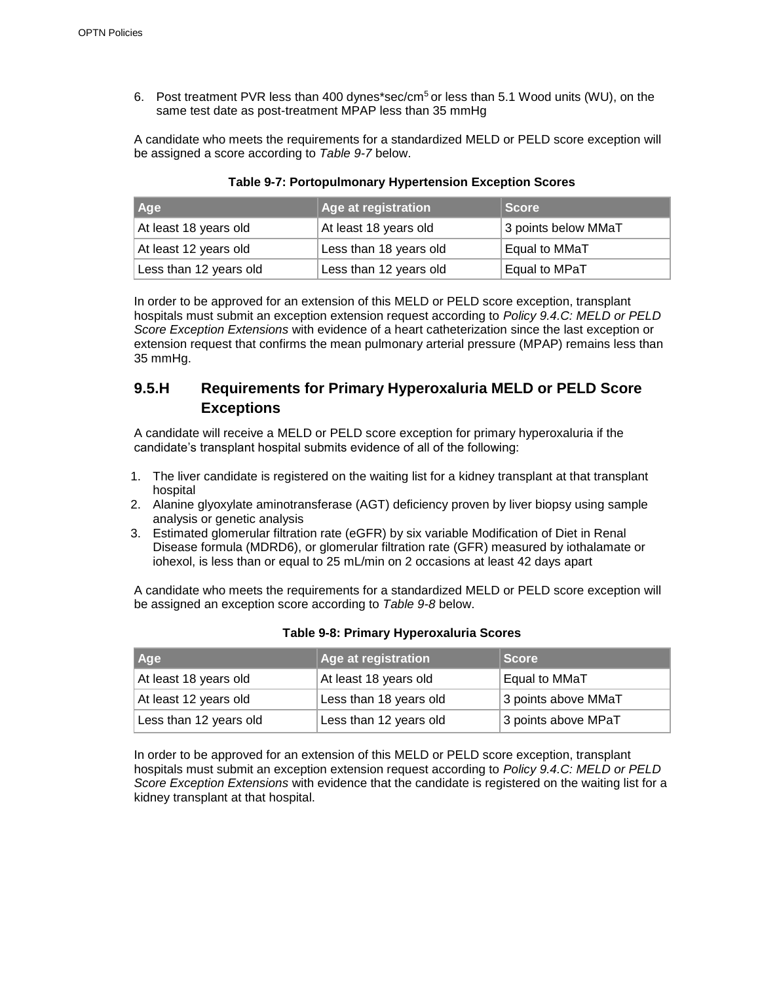6. Post treatment PVR less than 400 dynes\*sec/cm<sup>5</sup> or less than 5.1 Wood units (WU), on the same test date as post-treatment MPAP less than 35 mmHg

A candidate who meets the requirements for a standardized MELD or PELD score exception will be assigned a score according to *Table 9-7* below.

| <b>Age</b>             | Age at registration    | <b>Score</b>        |
|------------------------|------------------------|---------------------|
| At least 18 years old  | At least 18 years old  | 3 points below MMaT |
| At least 12 years old  | Less than 18 years old | Equal to MMaT       |
| Less than 12 years old | Less than 12 years old | Equal to MPaT       |

#### **Table 9-7: Portopulmonary Hypertension Exception Scores**

In order to be approved for an extension of this MELD or PELD score exception, transplant hospitals must submit an exception extension request according to *Policy 9.4.C: MELD or PELD Score Exception Extensions* with evidence of a heart catheterization since the last exception or extension request that confirms the mean pulmonary arterial pressure (MPAP) remains less than 35 mmHg.

### **9.5.H Requirements for Primary Hyperoxaluria MELD or PELD Score Exceptions**

A candidate will receive a MELD or PELD score exception for primary hyperoxaluria if the candidate's transplant hospital submits evidence of all of the following:

- 1. The liver candidate is registered on the waiting list for a kidney transplant at that transplant hospital
- 2. Alanine glyoxylate aminotransferase (AGT) deficiency proven by liver biopsy using sample analysis or genetic analysis
- 3. Estimated glomerular filtration rate (eGFR) by six variable Modification of Diet in Renal Disease formula (MDRD6), or glomerular filtration rate (GFR) measured by iothalamate or iohexol, is less than or equal to 25 mL/min on 2 occasions at least 42 days apart

A candidate who meets the requirements for a standardized MELD or PELD score exception will be assigned an exception score according to *Table 9-8* below.

| Age                    | <b>Age at registration</b> | <b>Score</b>        |
|------------------------|----------------------------|---------------------|
| At least 18 years old  | At least 18 years old      | Equal to MMaT       |
| At least 12 years old  | Less than 18 years old     | 3 points above MMaT |
| Less than 12 years old | Less than 12 years old     | 3 points above MPaT |

#### **Table 9-8: Primary Hyperoxaluria Scores**

In order to be approved for an extension of this MELD or PELD score exception, transplant hospitals must submit an exception extension request according to *Policy 9.4.C: MELD or PELD Score Exception Extensions* with evidence that the candidate is registered on the waiting list for a kidney transplant at that hospital.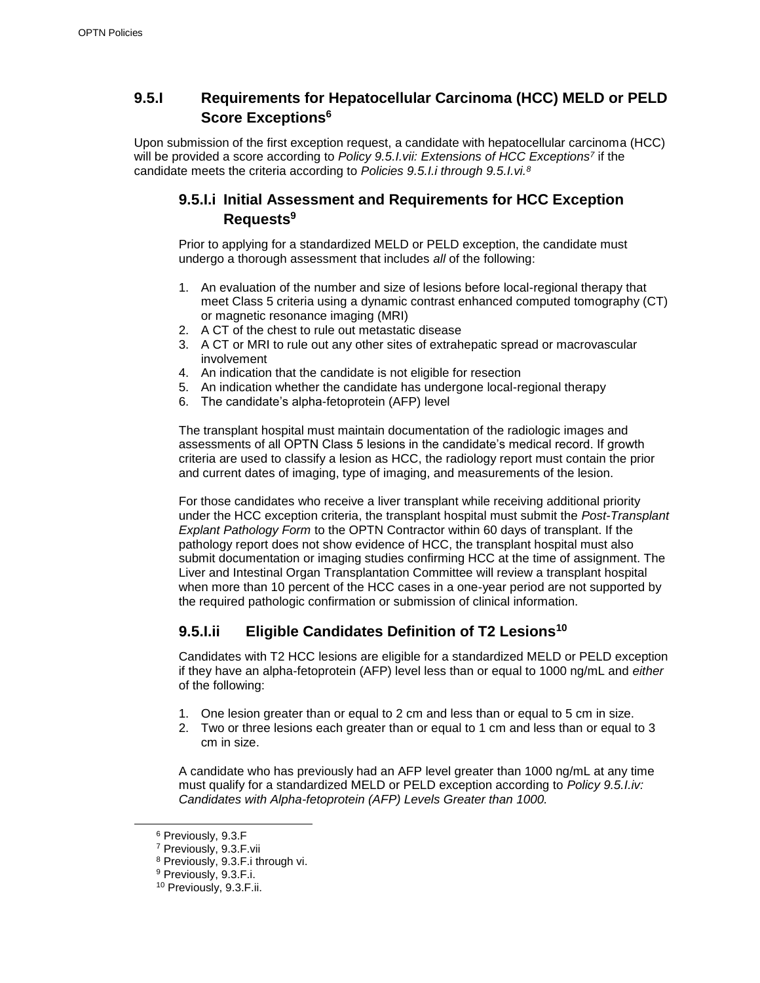### **9.5.I Requirements for Hepatocellular Carcinoma (HCC) MELD or PELD Score Exceptions<sup>6</sup>**

Upon submission of the first exception request, a candidate with hepatocellular carcinoma (HCC) will be provided a score according to *Policy 9.5.I.vii: Extensions of HCC Exceptions<sup>7</sup>* if the candidate meets the criteria according to *Policies 9.5.I.i through 9.5.I.vi.<sup>8</sup>*

### **9.5.I.i Initial Assessment and Requirements for HCC Exception Requests<sup>9</sup>**

Prior to applying for a standardized MELD or PELD exception, the candidate must undergo a thorough assessment that includes *all* of the following:

- 1. An evaluation of the number and size of lesions before local-regional therapy that meet Class 5 criteria using a dynamic contrast enhanced computed tomography (CT) or magnetic resonance imaging (MRI)
- 2. A CT of the chest to rule out metastatic disease
- 3. A CT or MRI to rule out any other sites of extrahepatic spread or macrovascular involvement
- 4. An indication that the candidate is not eligible for resection
- 5. An indication whether the candidate has undergone local-regional therapy
- 6. The candidate's alpha-fetoprotein (AFP) level

The transplant hospital must maintain documentation of the radiologic images and assessments of all OPTN Class 5 lesions in the candidate's medical record. If growth criteria are used to classify a lesion as HCC, the radiology report must contain the prior and current dates of imaging, type of imaging, and measurements of the lesion.

For those candidates who receive a liver transplant while receiving additional priority under the HCC exception criteria, the transplant hospital must submit the *Post-Transplant Explant Pathology Form* to the OPTN Contractor within 60 days of transplant. If the pathology report does not show evidence of HCC, the transplant hospital must also submit documentation or imaging studies confirming HCC at the time of assignment. The Liver and Intestinal Organ Transplantation Committee will review a transplant hospital when more than 10 percent of the HCC cases in a one-year period are not supported by the required pathologic confirmation or submission of clinical information.

### **9.5.I.ii Eligible Candidates Definition of T2 Lesions<sup>10</sup>**

Candidates with T2 HCC lesions are eligible for a standardized MELD or PELD exception if they have an alpha-fetoprotein (AFP) level less than or equal to 1000 ng/mL and *either*  of the following:

- 1. One lesion greater than or equal to 2 cm and less than or equal to 5 cm in size.
- 2. Two or three lesions each greater than or equal to 1 cm and less than or equal to 3 cm in size.

A candidate who has previously had an AFP level greater than 1000 ng/mL at any time must qualify for a standardized MELD or PELD exception according to *Policy 9.5.I.iv: Candidates with Alpha-fetoprotein (AFP) Levels Greater than 1000.*

<sup>6</sup> Previously, 9.3.F

<sup>7</sup> Previously, 9.3.F.vii

<sup>8</sup> Previously, 9.3.F.i through vi.

<sup>9</sup> Previously, 9.3.F.i.

<sup>10</sup> Previously, 9.3.F.ii.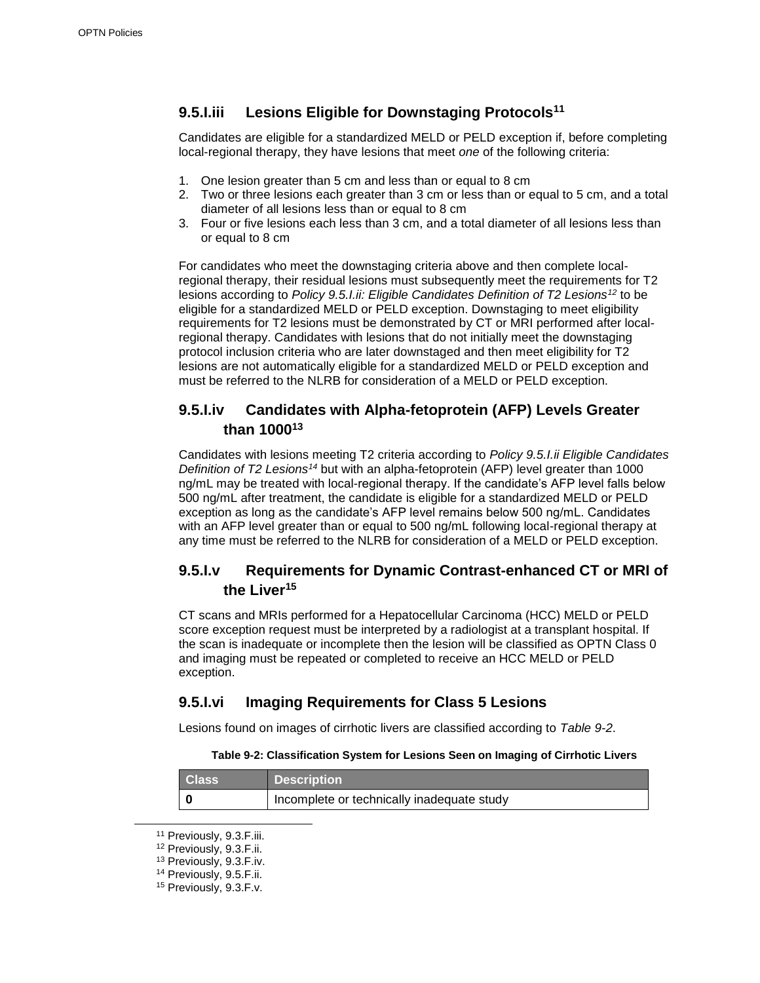### **9.5.I.iii Lesions Eligible for Downstaging Protocols<sup>11</sup>**

Candidates are eligible for a standardized MELD or PELD exception if, before completing local-regional therapy, they have lesions that meet *one* of the following criteria:

- 1. One lesion greater than 5 cm and less than or equal to 8 cm
- 2. Two or three lesions each greater than 3 cm or less than or equal to 5 cm, and a total diameter of all lesions less than or equal to 8 cm
- 3. Four or five lesions each less than 3 cm, and a total diameter of all lesions less than or equal to 8 cm

For candidates who meet the downstaging criteria above and then complete localregional therapy, their residual lesions must subsequently meet the requirements for T2 lesions according to *Policy 9.5.I.ii: Eligible Candidates Definition of T2 Lesions<sup>12</sup>* to be eligible for a standardized MELD or PELD exception. Downstaging to meet eligibility requirements for T2 lesions must be demonstrated by CT or MRI performed after localregional therapy. Candidates with lesions that do not initially meet the downstaging protocol inclusion criteria who are later downstaged and then meet eligibility for T2 lesions are not automatically eligible for a standardized MELD or PELD exception and must be referred to the NLRB for consideration of a MELD or PELD exception.

### **9.5.I.iv Candidates with Alpha-fetoprotein (AFP) Levels Greater than 1000<sup>13</sup>**

Candidates with lesions meeting T2 criteria according to *Policy 9.5.I.ii Eligible Candidates Definition of T2 Lesions<sup>14</sup>* but with an alpha-fetoprotein (AFP) level greater than 1000 ng/mL may be treated with local-regional therapy. If the candidate's AFP level falls below 500 ng/mL after treatment, the candidate is eligible for a standardized MELD or PELD exception as long as the candidate's AFP level remains below 500 ng/mL. Candidates with an AFP level greater than or equal to 500 ng/mL following local-regional therapy at any time must be referred to the NLRB for consideration of a MELD or PELD exception.

### **9.5.I.v Requirements for Dynamic Contrast-enhanced CT or MRI of the Liver<sup>15</sup>**

CT scans and MRIs performed for a Hepatocellular Carcinoma (HCC) MELD or PELD score exception request must be interpreted by a radiologist at a transplant hospital. If the scan is inadequate or incomplete then the lesion will be classified as OPTN Class 0 and imaging must be repeated or completed to receive an HCC MELD or PELD exception.

#### **9.5.I.vi Imaging Requirements for Class 5 Lesions**

Lesions found on images of cirrhotic livers are classified according to *Table 9-2*.

#### **Table 9-2: Classification System for Lesions Seen on Imaging of Cirrhotic Livers**

| <b>Class</b> | <b>Description</b>                         |
|--------------|--------------------------------------------|
|              | Incomplete or technically inadequate study |

<sup>11</sup> Previously, 9.3.F.iii.

<sup>12</sup> Previously, 9.3.F.ii.

<sup>13</sup> Previously, 9.3.F.iv.

<sup>14</sup> Previously, 9.5.F.ii.

<sup>15</sup> Previously, 9.3.F.v.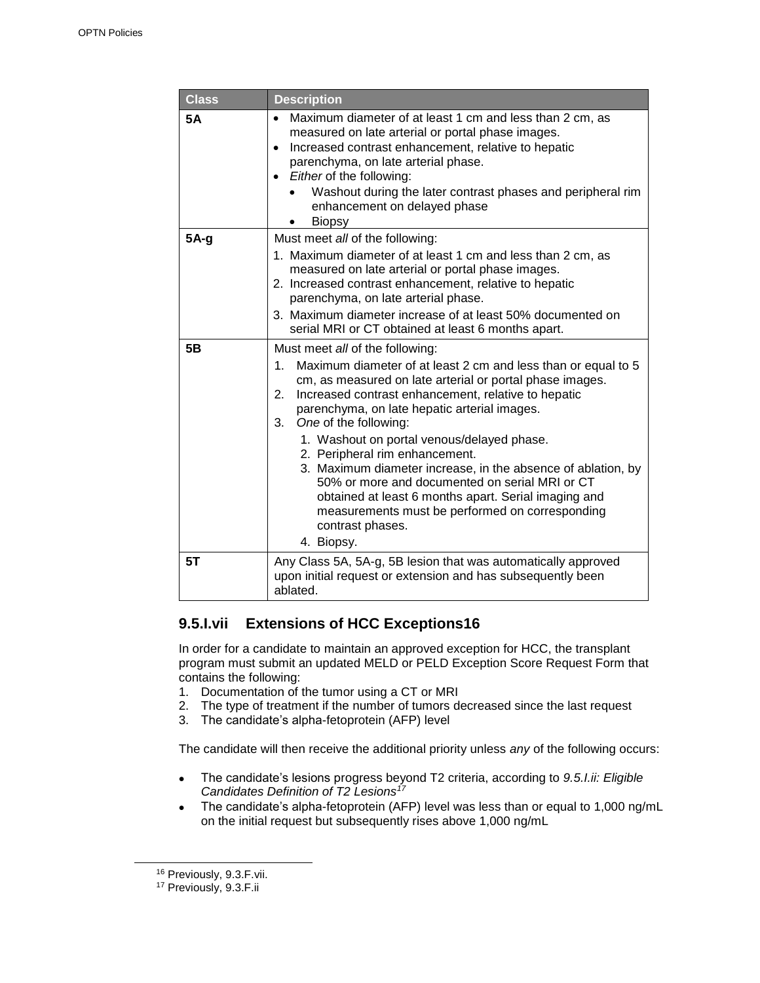| <b>Class</b> | <b>Description</b>                                                                                                                                                                                                                                                                                                                                                                                                                                                                                                                                                                                                                                            |
|--------------|---------------------------------------------------------------------------------------------------------------------------------------------------------------------------------------------------------------------------------------------------------------------------------------------------------------------------------------------------------------------------------------------------------------------------------------------------------------------------------------------------------------------------------------------------------------------------------------------------------------------------------------------------------------|
| 5A           | Maximum diameter of at least 1 cm and less than 2 cm, as<br>$\bullet$<br>measured on late arterial or portal phase images.<br>Increased contrast enhancement, relative to hepatic<br>$\bullet$<br>parenchyma, on late arterial phase.<br>• Either of the following:<br>Washout during the later contrast phases and peripheral rim<br>enhancement on delayed phase<br><b>Biopsy</b>                                                                                                                                                                                                                                                                           |
| $5A-g$       | Must meet all of the following:<br>1. Maximum diameter of at least 1 cm and less than 2 cm, as<br>measured on late arterial or portal phase images.<br>2. Increased contrast enhancement, relative to hepatic<br>parenchyma, on late arterial phase.<br>3. Maximum diameter increase of at least 50% documented on<br>serial MRI or CT obtained at least 6 months apart.                                                                                                                                                                                                                                                                                      |
| 5B           | Must meet all of the following:<br>Maximum diameter of at least 2 cm and less than or equal to 5<br>1.<br>cm, as measured on late arterial or portal phase images.<br>Increased contrast enhancement, relative to hepatic<br>2.<br>parenchyma, on late hepatic arterial images.<br>One of the following:<br>3.<br>1. Washout on portal venous/delayed phase.<br>2. Peripheral rim enhancement.<br>3. Maximum diameter increase, in the absence of ablation, by<br>50% or more and documented on serial MRI or CT<br>obtained at least 6 months apart. Serial imaging and<br>measurements must be performed on corresponding<br>contrast phases.<br>4. Biopsy. |
| 5T           | Any Class 5A, 5A-g, 5B lesion that was automatically approved<br>upon initial request or extension and has subsequently been<br>ablated.                                                                                                                                                                                                                                                                                                                                                                                                                                                                                                                      |

### **9.5.I.vii Extensions of HCC Exceptions16**

In order for a candidate to maintain an approved exception for HCC, the transplant program must submit an updated MELD or PELD Exception Score Request Form that contains the following:

- 1. Documentation of the tumor using a CT or MRI
- 2. The type of treatment if the number of tumors decreased since the last request
- 3. The candidate's alpha-fetoprotein (AFP) level

The candidate will then receive the additional priority unless *any* of the following occurs:

- The candidate's lesions progress beyond T2 criteria, according to *9.5.I.ii: Eligible Candidates Definition of T2 Lesions<sup>17</sup>*
- The candidate's alpha-fetoprotein (AFP) level was less than or equal to 1,000 ng/mL on the initial request but subsequently rises above 1,000 ng/mL

<sup>16</sup> Previously, 9.3.F.vii.

<sup>&</sup>lt;sup>17</sup> Previously, 9.3.F.ii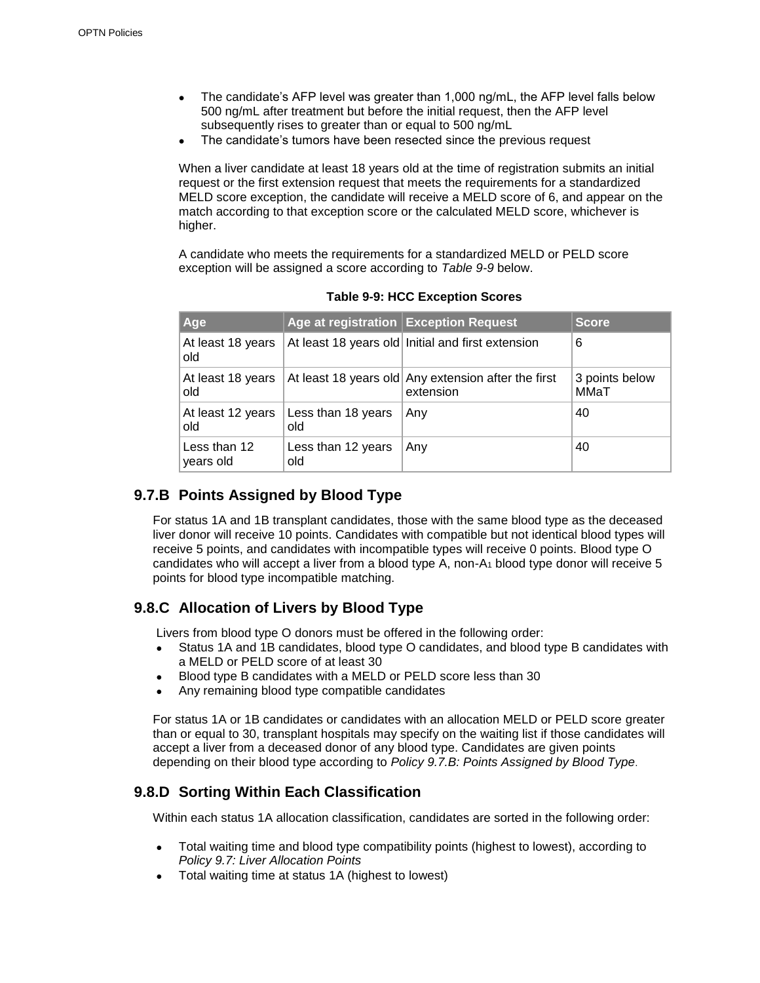- The candidate's AFP level was greater than 1,000 ng/mL, the AFP level falls below 500 ng/mL after treatment but before the initial request, then the AFP level subsequently rises to greater than or equal to 500 ng/mL
- The candidate's tumors have been resected since the previous request

When a liver candidate at least 18 years old at the time of registration submits an initial request or the first extension request that meets the requirements for a standardized MELD score exception, the candidate will receive a MELD score of 6, and appear on the match according to that exception score or the calculated MELD score, whichever is higher.

A candidate who meets the requirements for a standardized MELD or PELD score exception will be assigned a score according to *Table 9-9* below.

| Age                       |                           | Age at registration Exception Request                            | <b>Score</b>           |
|---------------------------|---------------------------|------------------------------------------------------------------|------------------------|
| At least 18 years<br>old  |                           | At least 18 years old Initial and first extension                | 6                      |
| At least 18 years<br>old  |                           | At least 18 years old Any extension after the first<br>extension | 3 points below<br>MMaT |
| At least 12 years<br>old  | Less than 18 years<br>old | Any                                                              | 40                     |
| Less than 12<br>years old | Less than 12 years<br>old | Any                                                              | 40                     |

**Table 9-9: HCC Exception Scores**

### **9.7.B Points Assigned by Blood Type**

For status 1A and 1B transplant candidates, those with the same blood type as the deceased liver donor will receive 10 points. Candidates with compatible but not identical blood types will receive 5 points, and candidates with incompatible types will receive 0 points. Blood type O candidates who will accept a liver from a blood type A, non-A $_1$  blood type donor will receive 5 points for blood type incompatible matching.

### **9.8.C Allocation of Livers by Blood Type**

Livers from blood type O donors must be offered in the following order:

- Status 1A and 1B candidates, blood type O candidates, and blood type B candidates with a MELD or PELD score of at least 30
- Blood type B candidates with a MELD or PELD score less than 30
- Any remaining blood type compatible candidates

For status 1A or 1B candidates or candidates with an allocation MELD or PELD score greater than or equal to 30, transplant hospitals may specify on the waiting list if those candidates will accept a liver from a deceased donor of any blood type. Candidates are given points depending on their blood type according to *Policy 9.7.B: Points Assigned by Blood Type*.

### **9.8.D Sorting Within Each Classification**

Within each status 1A allocation classification, candidates are sorted in the following order:

- Total waiting time and blood type compatibility points (highest to lowest), according to *Policy 9.7: Liver Allocation Points*
- Total waiting time at status 1A (highest to lowest)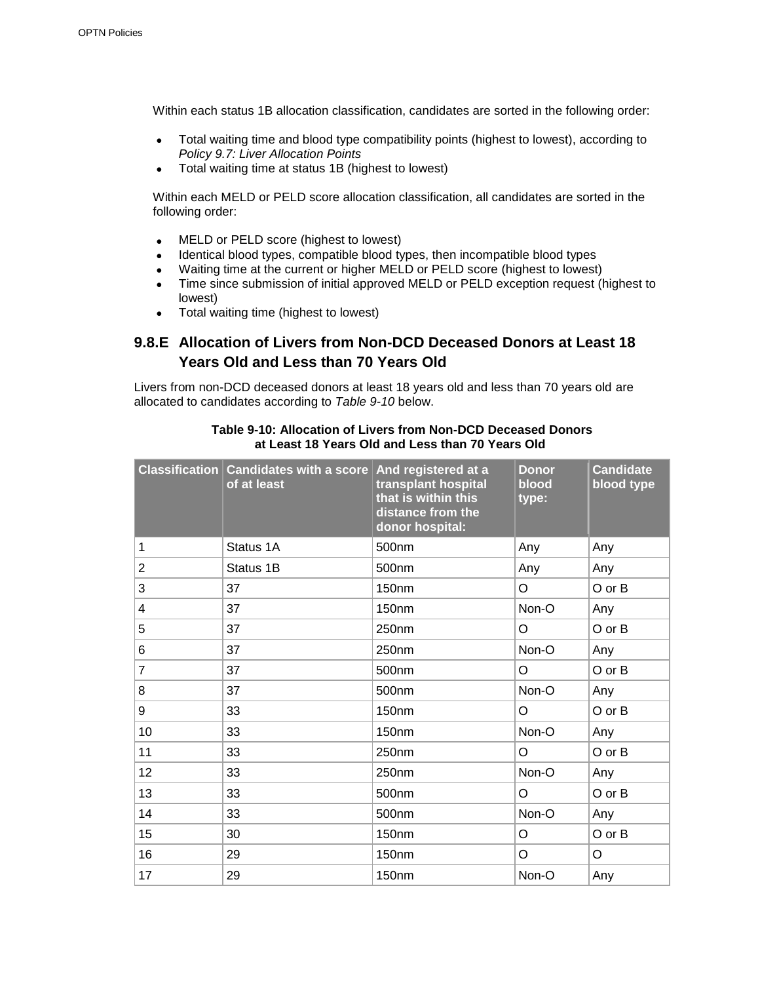Within each status 1B allocation classification, candidates are sorted in the following order:

- Total waiting time and blood type compatibility points (highest to lowest), according to *Policy 9.7: Liver Allocation Points*
- Total waiting time at status 1B (highest to lowest)

Within each MELD or PELD score allocation classification, all candidates are sorted in the following order:

- MELD or PELD score (highest to lowest)
- Identical blood types, compatible blood types, then incompatible blood types
- Waiting time at the current or higher MELD or PELD score (highest to lowest)
- Time since submission of initial approved MELD or PELD exception request (highest to lowest)
- Total waiting time (highest to lowest)

### **9.8.E Allocation of Livers from Non-DCD Deceased Donors at Least 18 Years Old and Less than 70 Years Old**

Livers from non-DCD deceased donors at least 18 years old and less than 70 years old are allocated to candidates according to *Table 9-10* below.

|                | Classification Candidates with a score And registered at a<br>of at least | transplant hospital<br>that is within this<br>distance from the<br>donor hospital: | <b>Donor</b><br>blood<br>type: | <b>Candidate</b><br>blood type |
|----------------|---------------------------------------------------------------------------|------------------------------------------------------------------------------------|--------------------------------|--------------------------------|
| 1              | Status 1A                                                                 | 500nm                                                                              | Any                            | Any                            |
| $\overline{c}$ | Status 1B                                                                 | 500nm                                                                              | Any                            | Any                            |
| 3              | 37                                                                        | 150 <sub>nm</sub>                                                                  | $\circ$                        | O or B                         |
| 4              | 37                                                                        | 150nm                                                                              | Non-O                          | Any                            |
| 5              | 37                                                                        | 250nm                                                                              | O                              | O or B                         |
| 6              | 37                                                                        | 250nm                                                                              | Non-O                          | Any                            |
| $\overline{7}$ | 37                                                                        | 500nm                                                                              | O                              | O or B                         |
| 8              | 37                                                                        | 500 <sub>nm</sub>                                                                  | Non-O                          | Any                            |
| 9              | 33                                                                        | 150nm                                                                              | O                              | O or B                         |
| 10             | 33                                                                        | <b>150nm</b>                                                                       | Non-O                          | Any                            |
| 11             | 33                                                                        | 250nm                                                                              | O                              | O or B                         |
| 12             | 33                                                                        | 250nm                                                                              | Non-O                          | Any                            |
| 13             | 33                                                                        | 500nm                                                                              | O                              | O or B                         |
| 14             | 33                                                                        | 500nm                                                                              | Non-O                          | Any                            |
| 15             | 30                                                                        | 150nm                                                                              | O                              | O or B                         |
| 16             | 29                                                                        | 150nm                                                                              | O                              | O                              |
| 17             | 29                                                                        | 150 <sub>nm</sub>                                                                  | Non-O                          | Any                            |

#### **Table 9-10: Allocation of Livers from Non-DCD Deceased Donors at Least 18 Years Old and Less than 70 Years Old**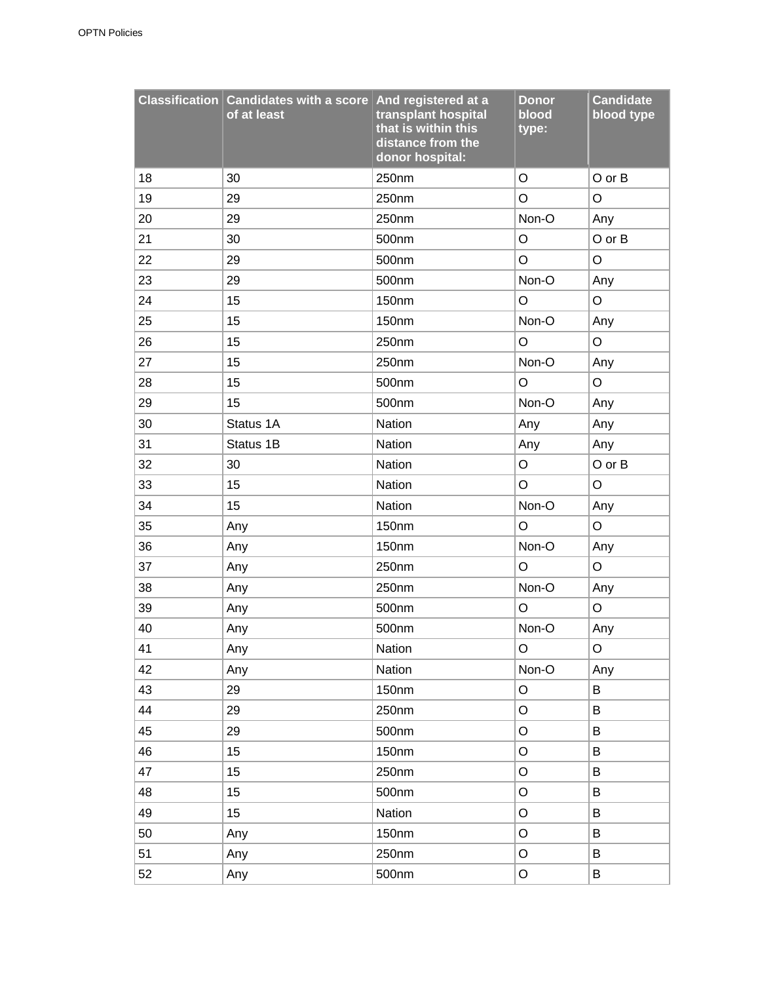|    | Classification Candidates with a score And registered at a<br>of at least | transplant hospital<br>that is within this<br>distance from the<br>donor hospital: | <b>Donor</b><br>blood<br>type: | <b>Candidate</b><br>blood type |
|----|---------------------------------------------------------------------------|------------------------------------------------------------------------------------|--------------------------------|--------------------------------|
| 18 | 30                                                                        | 250nm                                                                              | O                              | O or B                         |
| 19 | 29                                                                        | 250nm                                                                              | O                              | $\circ$                        |
| 20 | 29                                                                        | 250nm                                                                              | Non-O                          | Any                            |
| 21 | 30                                                                        | 500nm                                                                              | O                              | O or B                         |
| 22 | 29                                                                        | 500nm                                                                              | O                              | $\mathsf O$                    |
| 23 | 29                                                                        | 500nm                                                                              | Non-O                          | Any                            |
| 24 | 15                                                                        | 150nm                                                                              | $\circ$                        | $\circ$                        |
| 25 | 15                                                                        | 150nm                                                                              | Non-O                          | Any                            |
| 26 | 15                                                                        | 250nm                                                                              | $\mathsf O$                    | $\mathsf O$                    |
| 27 | 15                                                                        | 250nm                                                                              | Non-O                          | Any                            |
| 28 | 15                                                                        | 500nm                                                                              | O                              | $\circ$                        |
| 29 | 15                                                                        | 500nm                                                                              | Non-O                          | Any                            |
| 30 | Status 1A                                                                 | Nation                                                                             | Any                            | Any                            |
| 31 | Status 1B                                                                 | Nation                                                                             | Any                            | Any                            |
| 32 | 30                                                                        | Nation                                                                             | O                              | O or B                         |
| 33 | 15                                                                        | Nation                                                                             | O                              | O                              |
| 34 | 15                                                                        | Nation                                                                             | Non-O                          | Any                            |
| 35 | Any                                                                       | 150nm                                                                              | O                              | $\circ$                        |
| 36 | Any                                                                       | 150nm                                                                              | Non-O                          | Any                            |
| 37 | Any                                                                       | 250nm                                                                              | O                              | $\mathsf O$                    |
| 38 | Any                                                                       | 250nm                                                                              | Non-O                          | Any                            |
| 39 | Any                                                                       | 500nm                                                                              | O                              | $\mathsf O$                    |
| 40 | Any                                                                       | 500nm                                                                              | Non-O                          | Any                            |
| 41 | Any                                                                       | Nation                                                                             | Ő                              | O                              |
| 42 | Any                                                                       | Nation                                                                             | Non-O                          | Any                            |
| 43 | 29                                                                        | 150nm                                                                              | $\circ$                        | B                              |
| 44 | 29                                                                        | 250nm                                                                              | O                              | B                              |
| 45 | 29                                                                        | 500nm                                                                              | O                              | B                              |
| 46 | 15                                                                        | 150nm                                                                              | O                              | B                              |
| 47 | 15                                                                        | 250nm                                                                              | O                              | B                              |
| 48 | 15                                                                        | 500nm                                                                              | O                              | B                              |
| 49 | 15                                                                        | Nation                                                                             | O                              | B                              |
| 50 | Any                                                                       | 150nm                                                                              | O                              | B                              |
| 51 | Any                                                                       | 250nm                                                                              | O                              | B                              |
| 52 | Any                                                                       | 500nm                                                                              | O                              | B                              |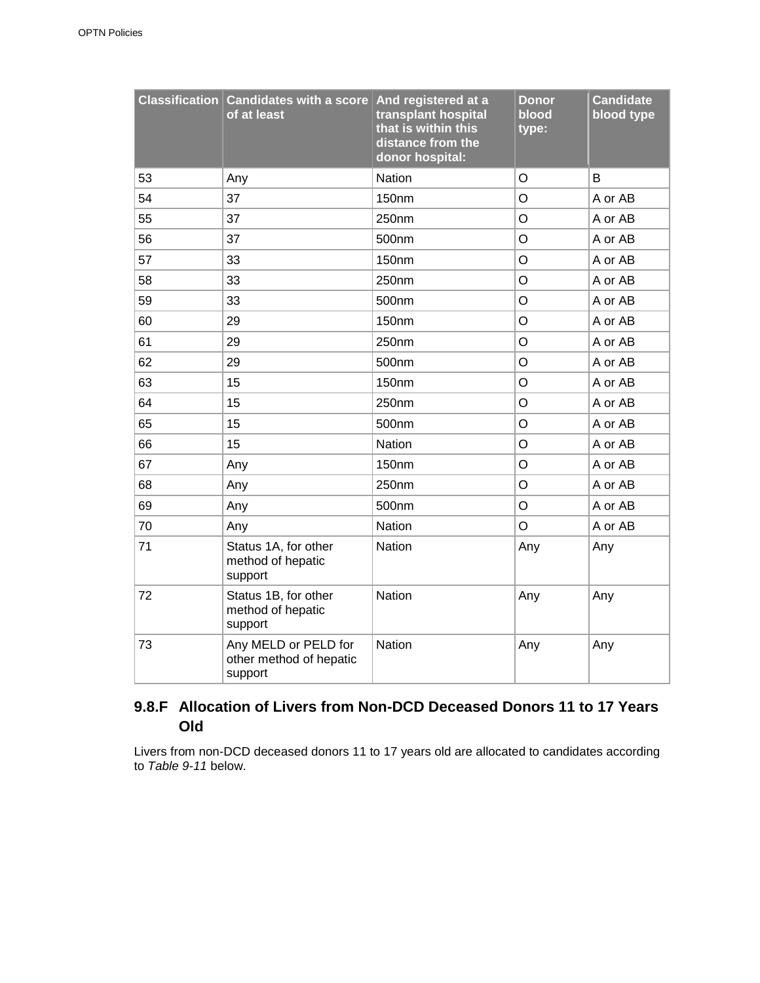|    | Classification Candidates with a score<br>of at least      | And registered at a<br>transplant hospital<br>that is within this<br>distance from the<br>donor hospital: | <b>Donor</b><br>blood<br>type: | <b>Candidate</b><br>blood type |
|----|------------------------------------------------------------|-----------------------------------------------------------------------------------------------------------|--------------------------------|--------------------------------|
| 53 | Any                                                        | Nation                                                                                                    | $\circ$                        | B                              |
| 54 | 37                                                         | 150nm                                                                                                     | O                              | A or AB                        |
| 55 | 37                                                         | 250nm                                                                                                     | O                              | A or AB                        |
| 56 | 37                                                         | 500nm                                                                                                     | $\circ$                        | A or AB                        |
| 57 | 33                                                         | 150nm                                                                                                     | O                              | A or AB                        |
| 58 | 33                                                         | 250nm                                                                                                     | $\circ$                        | A or AB                        |
| 59 | 33                                                         | 500nm                                                                                                     | $\circ$                        | A or AB                        |
| 60 | 29                                                         | 150nm                                                                                                     | O                              | A or AB                        |
| 61 | 29                                                         | 250nm                                                                                                     | $\circ$                        | A or AB                        |
| 62 | 29                                                         | 500nm                                                                                                     | O                              | A or AB                        |
| 63 | 15                                                         | 150nm                                                                                                     | $\circ$                        | A or AB                        |
| 64 | 15                                                         | 250nm                                                                                                     | O                              | A or AB                        |
| 65 | 15                                                         | 500nm                                                                                                     | O                              | A or AB                        |
| 66 | 15                                                         | Nation                                                                                                    | $\circ$                        | A or AB                        |
| 67 | Any                                                        | 150nm                                                                                                     | O                              | A or AB                        |
| 68 | Any                                                        | 250nm                                                                                                     | O                              | A or AB                        |
| 69 | Any                                                        | 500nm                                                                                                     | O                              | A or AB                        |
| 70 | Any                                                        | Nation                                                                                                    | $\circ$                        | A or AB                        |
| 71 | Status 1A, for other<br>method of hepatic<br>support       | Nation                                                                                                    | Any                            | Any                            |
| 72 | Status 1B, for other<br>method of hepatic<br>support       | Nation                                                                                                    | Any                            | Any                            |
| 73 | Any MELD or PELD for<br>other method of hepatic<br>support | Nation                                                                                                    | Any                            | Any                            |

### **9.8.F Allocation of Livers from Non-DCD Deceased Donors 11 to 17 Years Old**

Livers from non-DCD deceased donors 11 to 17 years old are allocated to candidates according to *Table 9-11* below.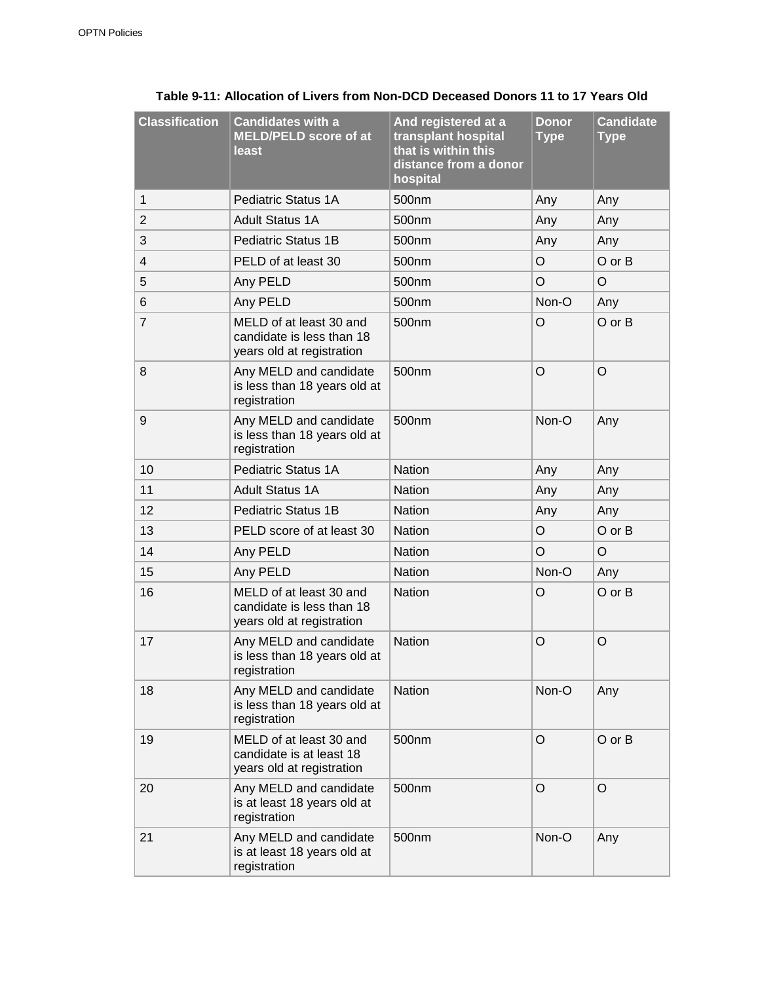| <b>Classification</b> | <b>Candidates with a</b><br><b>MELD/PELD score of at</b><br>least                 | And registered at a<br>transplant hospital<br>that is within this<br>distance from a donor<br>hospital | <b>Donor</b><br><b>Type</b> | <b>Candidate</b><br><b>Type</b> |
|-----------------------|-----------------------------------------------------------------------------------|--------------------------------------------------------------------------------------------------------|-----------------------------|---------------------------------|
| 1                     | Pediatric Status 1A                                                               | 500 <sub>nm</sub>                                                                                      | Any                         | Any                             |
| $\overline{2}$        | <b>Adult Status 1A</b>                                                            | 500 <sub>nm</sub>                                                                                      | Any                         | Any                             |
| 3                     | <b>Pediatric Status 1B</b>                                                        | 500nm                                                                                                  | Any                         | Any                             |
| 4                     | PELD of at least 30                                                               | 500nm                                                                                                  | $\circ$                     | $O$ or $B$                      |
| 5                     | Any PELD                                                                          | 500nm                                                                                                  | $\circ$                     | O                               |
| 6                     | Any PELD                                                                          | 500nm                                                                                                  | Non-O                       | Any                             |
| 7                     | MELD of at least 30 and<br>candidate is less than 18<br>years old at registration | 500 <sub>nm</sub>                                                                                      | $\circ$                     | $O$ or $B$                      |
| 8                     | Any MELD and candidate<br>is less than 18 years old at<br>registration            | 500 <sub>nm</sub>                                                                                      | $\circ$                     | $\circ$                         |
| 9                     | Any MELD and candidate<br>is less than 18 years old at<br>registration            | 500 <sub>nm</sub>                                                                                      | Non-O                       | Any                             |
| 10                    | <b>Pediatric Status 1A</b>                                                        | <b>Nation</b>                                                                                          | Any                         | Any                             |
| 11                    | <b>Adult Status 1A</b>                                                            | <b>Nation</b>                                                                                          | Any                         | Any                             |
| 12                    | <b>Pediatric Status 1B</b>                                                        | <b>Nation</b>                                                                                          | Any                         | Any                             |
| 13                    | PELD score of at least 30                                                         | <b>Nation</b>                                                                                          | $\circ$                     | $O$ or $B$                      |
| 14                    | Any PELD                                                                          | <b>Nation</b>                                                                                          | $\circ$                     | O                               |
| 15                    | Any PELD                                                                          | <b>Nation</b>                                                                                          | Non-O                       | Any                             |
| 16                    | MELD of at least 30 and<br>candidate is less than 18<br>years old at registration | <b>Nation</b>                                                                                          | $\circ$                     | O or B                          |
| 17                    | Any MELD and candidate<br>is less than 18 years old at<br>registration            | <b>Nation</b>                                                                                          | $\circ$                     | O                               |
| 18                    | Any MELD and candidate<br>is less than 18 years old at<br>registration            | <b>Nation</b>                                                                                          | Non-O                       | Any                             |
| 19                    | MELD of at least 30 and<br>candidate is at least 18<br>years old at registration  | 500nm                                                                                                  | O                           | O or B                          |
| 20                    | Any MELD and candidate<br>is at least 18 years old at<br>registration             | 500nm                                                                                                  | $\circ$                     | $\circ$                         |
| 21                    | Any MELD and candidate<br>is at least 18 years old at<br>registration             | 500nm                                                                                                  | Non-O                       | Any                             |

#### **Table 9-11: Allocation of Livers from Non-DCD Deceased Donors 11 to 17 Years Old**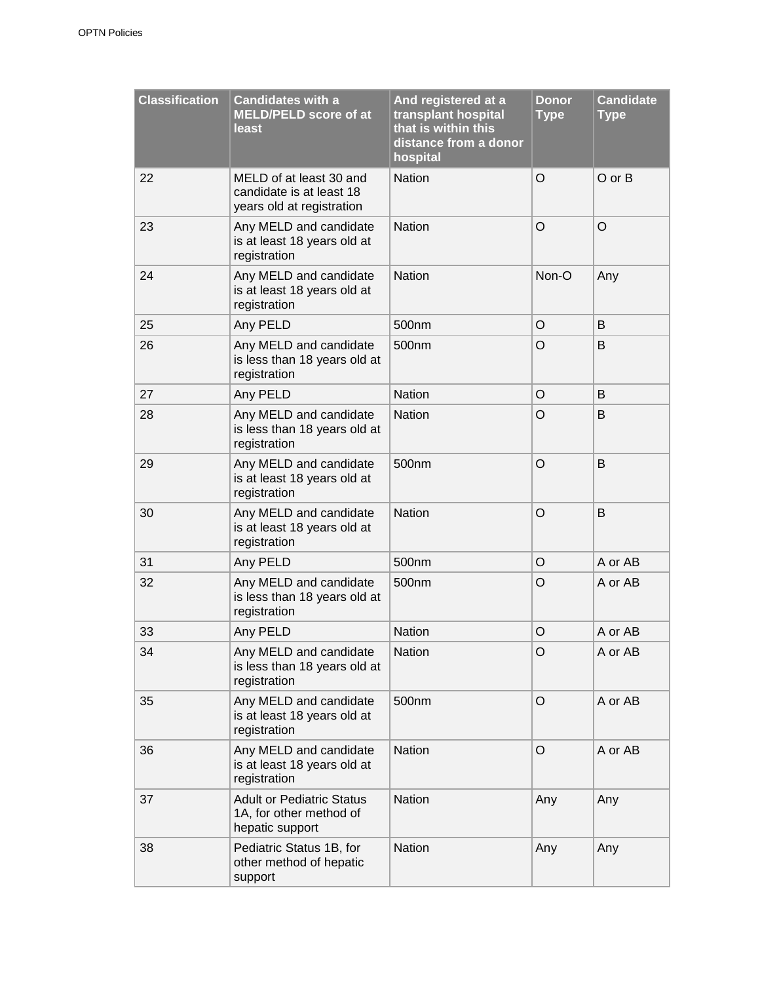| <b>Classification</b> | <b>Candidates with a</b><br><b>MELD/PELD score of at</b><br>least                | And registered at a<br>transplant hospital<br>that is within this<br>distance from a donor<br>hospital | <b>Donor</b><br><b>Type</b> | <b>Candidate</b><br><b>Type</b> |
|-----------------------|----------------------------------------------------------------------------------|--------------------------------------------------------------------------------------------------------|-----------------------------|---------------------------------|
| 22                    | MELD of at least 30 and<br>candidate is at least 18<br>years old at registration | <b>Nation</b>                                                                                          | O                           | $O$ or $B$                      |
| 23                    | Any MELD and candidate<br>is at least 18 years old at<br>registration            | <b>Nation</b>                                                                                          | O                           | $\circ$                         |
| 24                    | Any MELD and candidate<br>is at least 18 years old at<br>registration            | <b>Nation</b>                                                                                          | Non-O                       | Any                             |
| 25                    | Any PELD                                                                         | 500nm                                                                                                  | O                           | B                               |
| 26                    | Any MELD and candidate<br>is less than 18 years old at<br>registration           | 500nm                                                                                                  | O                           | B                               |
| 27                    | Any PELD                                                                         | <b>Nation</b>                                                                                          | O                           | B                               |
| 28                    | Any MELD and candidate<br>is less than 18 years old at<br>registration           | <b>Nation</b>                                                                                          | O                           | В                               |
| 29                    | Any MELD and candidate<br>is at least 18 years old at<br>registration            | 500nm                                                                                                  | $\circ$                     | B                               |
| 30                    | Any MELD and candidate<br>is at least 18 years old at<br>registration            | <b>Nation</b>                                                                                          | $\circ$                     | B                               |
| 31                    | Any PELD                                                                         | 500nm                                                                                                  | O                           | A or AB                         |
| 32                    | Any MELD and candidate<br>is less than 18 years old at<br>registration           | 500 <sub>nm</sub>                                                                                      | O                           | A or AB                         |
| 33                    | Any PELD                                                                         | <b>Nation</b>                                                                                          | $\circ$                     | A or AB                         |
| 34                    | Any MELD and candidate<br>is less than 18 years old at<br>registration           | Nation                                                                                                 | O                           | A or AB                         |
| 35                    | Any MELD and candidate<br>is at least 18 years old at<br>registration            | 500nm                                                                                                  | O                           | A or AB                         |
| 36                    | Any MELD and candidate<br>is at least 18 years old at<br>registration            | <b>Nation</b>                                                                                          | O                           | A or AB                         |
| 37                    | <b>Adult or Pediatric Status</b><br>1A, for other method of<br>hepatic support   | <b>Nation</b>                                                                                          | Any                         | Any                             |
| 38                    | Pediatric Status 1B, for<br>other method of hepatic<br>support                   | <b>Nation</b>                                                                                          | Any                         | Any                             |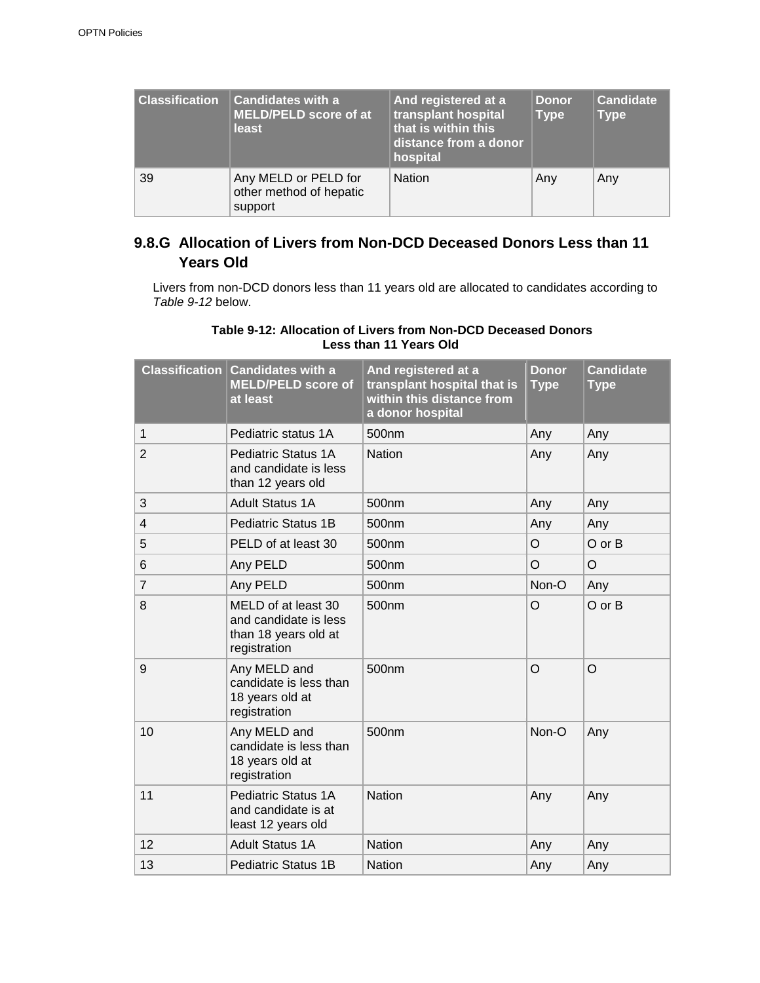| <b>Classification</b> | <b>Candidates with a</b><br>MELD/PELD score of at<br>least | And registered at a<br>transplant hospital<br>that is within this<br>distance from a donor<br>hospital | Donor.<br><b>Type</b> | <b>Candidate</b><br><b>Type</b> |
|-----------------------|------------------------------------------------------------|--------------------------------------------------------------------------------------------------------|-----------------------|---------------------------------|
| 39                    | Any MELD or PELD for<br>other method of hepatic<br>support | <b>Nation</b>                                                                                          | Any                   | Any                             |

### **9.8.G Allocation of Livers from Non-DCD Deceased Donors Less than 11 Years Old**

Livers from non-DCD donors less than 11 years old are allocated to candidates according to *Table 9-12* below.

#### **Table 9-12: Allocation of Livers from Non-DCD Deceased Donors Less than 11 Years Old**

|                | <b>Classification Candidates with a</b><br><b>MELD/PELD score of</b><br>at least     | And registered at a<br>transplant hospital that is<br>within this distance from<br>a donor hospital | <b>Donor</b><br><b>Type</b> | <b>Candidate</b><br><b>Type</b> |
|----------------|--------------------------------------------------------------------------------------|-----------------------------------------------------------------------------------------------------|-----------------------------|---------------------------------|
| $\mathbf{1}$   | Pediatric status 1A                                                                  | 500 <sub>nm</sub>                                                                                   | Any                         | Any                             |
| $\overline{2}$ | Pediatric Status 1A<br>and candidate is less<br>than 12 years old                    | <b>Nation</b>                                                                                       | Any                         | Any                             |
| 3              | <b>Adult Status 1A</b>                                                               | 500nm                                                                                               | Any                         | Any                             |
| $\overline{4}$ | <b>Pediatric Status 1B</b>                                                           | 500 <sub>nm</sub>                                                                                   | Any                         | Any                             |
| 5              | PELD of at least 30                                                                  | 500 <sub>nm</sub>                                                                                   | $\circ$                     | O or B                          |
| 6              | Any PELD                                                                             | 500nm                                                                                               | $\circ$                     | $\circ$                         |
| $\overline{7}$ | Any PELD                                                                             | 500 <sub>nm</sub>                                                                                   | Non-O                       | Any                             |
| 8              | MELD of at least 30<br>and candidate is less<br>than 18 years old at<br>registration | 500 <sub>nm</sub>                                                                                   | $\circ$                     | O or B                          |
| 9              | Any MELD and<br>candidate is less than<br>18 years old at<br>registration            | 500nm                                                                                               | $\circ$                     | $\circ$                         |
| 10             | Any MELD and<br>candidate is less than<br>18 years old at<br>registration            | 500 <sub>nm</sub>                                                                                   | Non-O                       | Any                             |
| 11             | <b>Pediatric Status 1A</b><br>and candidate is at<br>least 12 years old              | <b>Nation</b>                                                                                       | Any                         | Any                             |
| 12             | <b>Adult Status 1A</b>                                                               | <b>Nation</b>                                                                                       | Any                         | Any                             |
| 13             | <b>Pediatric Status 1B</b>                                                           | <b>Nation</b>                                                                                       | Any                         | Any                             |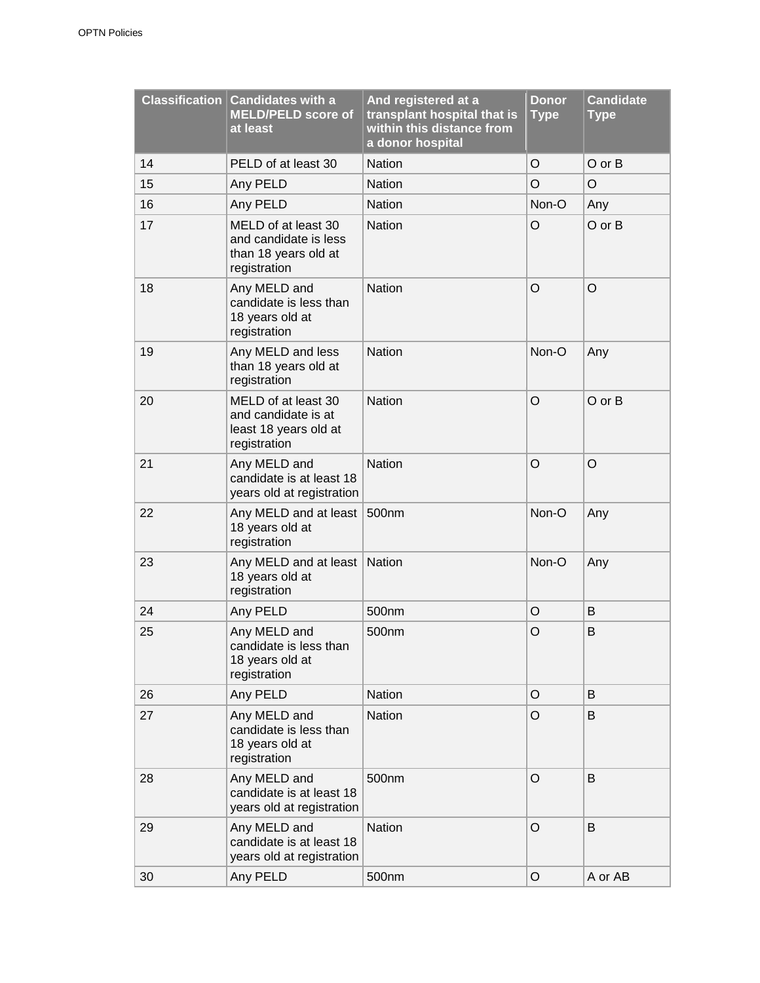|    | <b>Classification Candidates with a</b><br><b>MELD/PELD score of</b><br>at least     | And registered at a<br>transplant hospital that is<br>within this distance from<br>a donor hospital | <b>Donor</b><br><b>Type</b> | <b>Candidate</b><br><b>Type</b> |
|----|--------------------------------------------------------------------------------------|-----------------------------------------------------------------------------------------------------|-----------------------------|---------------------------------|
| 14 | PELD of at least 30                                                                  | <b>Nation</b>                                                                                       | $\circ$                     | O or B                          |
| 15 | Any PELD                                                                             | <b>Nation</b>                                                                                       | $\circ$                     | $\circ$                         |
| 16 | Any PELD                                                                             | <b>Nation</b>                                                                                       | Non-O                       | Any                             |
| 17 | MELD of at least 30<br>and candidate is less<br>than 18 years old at<br>registration | <b>Nation</b>                                                                                       | $\circ$                     | O or B                          |
| 18 | Any MELD and<br>candidate is less than<br>18 years old at<br>registration            | Nation                                                                                              | $\circ$                     | $\circ$                         |
| 19 | Any MELD and less<br>than 18 years old at<br>registration                            | <b>Nation</b>                                                                                       | Non-O                       | Any                             |
| 20 | MELD of at least 30<br>and candidate is at<br>least 18 years old at<br>registration  | <b>Nation</b>                                                                                       | $\circ$                     | O or B                          |
| 21 | Any MELD and<br>candidate is at least 18<br>years old at registration                | <b>Nation</b>                                                                                       | $\circ$                     | $\circ$                         |
| 22 | Any MELD and at least<br>18 years old at<br>registration                             | 500nm                                                                                               | Non-O                       | Any                             |
| 23 | Any MELD and at least<br>18 years old at<br>registration                             | <b>Nation</b>                                                                                       | Non-O                       | Any                             |
| 24 | Any PELD                                                                             | 500nm                                                                                               | $\circ$                     | B                               |
| 25 | Any MELD and<br>candidate is less than<br>18 years old at<br>registration            | 500nm                                                                                               | $\circ$                     | B                               |
| 26 | Any PELD                                                                             | Nation                                                                                              | O                           | B                               |
| 27 | Any MELD and<br>candidate is less than<br>18 years old at<br>registration            | Nation                                                                                              | $\circ$                     | B                               |
| 28 | Any MELD and<br>candidate is at least 18<br>years old at registration                | 500nm                                                                                               | $\bigcirc$                  | B                               |
| 29 | Any MELD and<br>candidate is at least 18<br>years old at registration                | <b>Nation</b>                                                                                       | $\circ$                     | B                               |
| 30 | Any PELD                                                                             | 500nm                                                                                               | $\circ$                     | A or AB                         |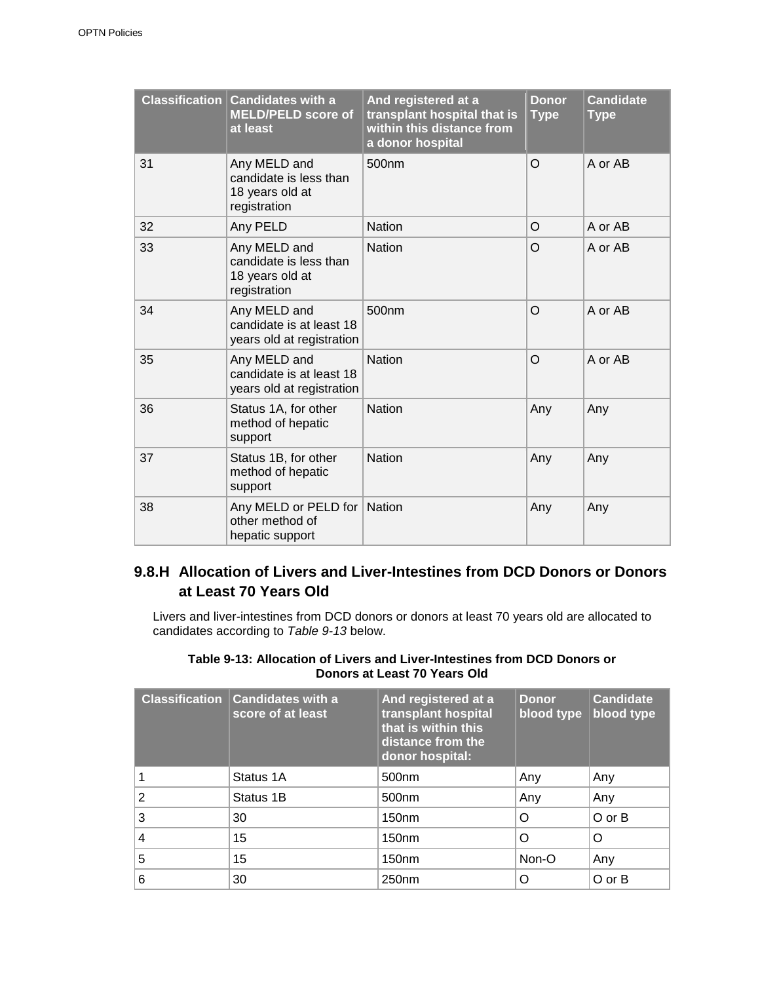|    | <b>Classification Candidates with a</b><br><b>MELD/PELD score of</b><br>at least | And registered at a<br>transplant hospital that is<br>within this distance from<br>a donor hospital | <b>Donor</b><br><b>Type</b> | <b>Candidate</b><br><b>Type</b> |
|----|----------------------------------------------------------------------------------|-----------------------------------------------------------------------------------------------------|-----------------------------|---------------------------------|
| 31 | Any MELD and<br>candidate is less than<br>18 years old at<br>registration        | 500 <sub>nm</sub>                                                                                   | O                           | A or AB                         |
| 32 | Any PELD                                                                         | <b>Nation</b>                                                                                       | O                           | A or AB                         |
| 33 | Any MELD and<br>candidate is less than<br>18 years old at<br>registration        | <b>Nation</b>                                                                                       | O                           | A or AB                         |
| 34 | Any MELD and<br>candidate is at least 18<br>years old at registration            | 500 <sub>nm</sub>                                                                                   | $\Omega$                    | A or AB                         |
| 35 | Any MELD and<br>candidate is at least 18<br>years old at registration            | <b>Nation</b>                                                                                       | O                           | A or AB                         |
| 36 | Status 1A, for other<br>method of hepatic<br>support                             | <b>Nation</b>                                                                                       | Any                         | Any                             |
| 37 | Status 1B, for other<br>method of hepatic<br>support                             | <b>Nation</b>                                                                                       | Any                         | Any                             |
| 38 | Any MELD or PELD for<br>other method of<br>hepatic support                       | <b>Nation</b>                                                                                       | Any                         | Any                             |

### **9.8.H Allocation of Livers and Liver-Intestines from DCD Donors or Donors at Least 70 Years Old**

Livers and liver-intestines from DCD donors or donors at least 70 years old are allocated to candidates according to *Table 9-13* below.

#### **Table 9-13: Allocation of Livers and Liver-Intestines from DCD Donors or Donors at Least 70 Years Old**

| <b>Classification</b> | <b>Candidates with a</b><br>score of at least | And registered at a<br>transplant hospital<br>that is within this<br>distance from the<br>donor hospital: | <b>Donor</b><br>blood type | <b>Candidate</b><br>blood type |
|-----------------------|-----------------------------------------------|-----------------------------------------------------------------------------------------------------------|----------------------------|--------------------------------|
|                       | Status 1A                                     | 500 <sub>nm</sub>                                                                                         | Any                        | Any                            |
| $\overline{2}$        | Status 1B                                     | 500 <sub>nm</sub>                                                                                         | Any                        | Any                            |
| 3                     | 30                                            | 150 <sub>nm</sub>                                                                                         | O                          | O or B                         |
| 4                     | 15                                            | 150 <sub>nm</sub>                                                                                         | Ω                          | O                              |
| 5                     | 15                                            | 150 <sub>nm</sub>                                                                                         | Non-O                      | Any                            |
| 6                     | 30                                            | 250 <sub>nm</sub>                                                                                         | Ω                          | $O$ or $B$                     |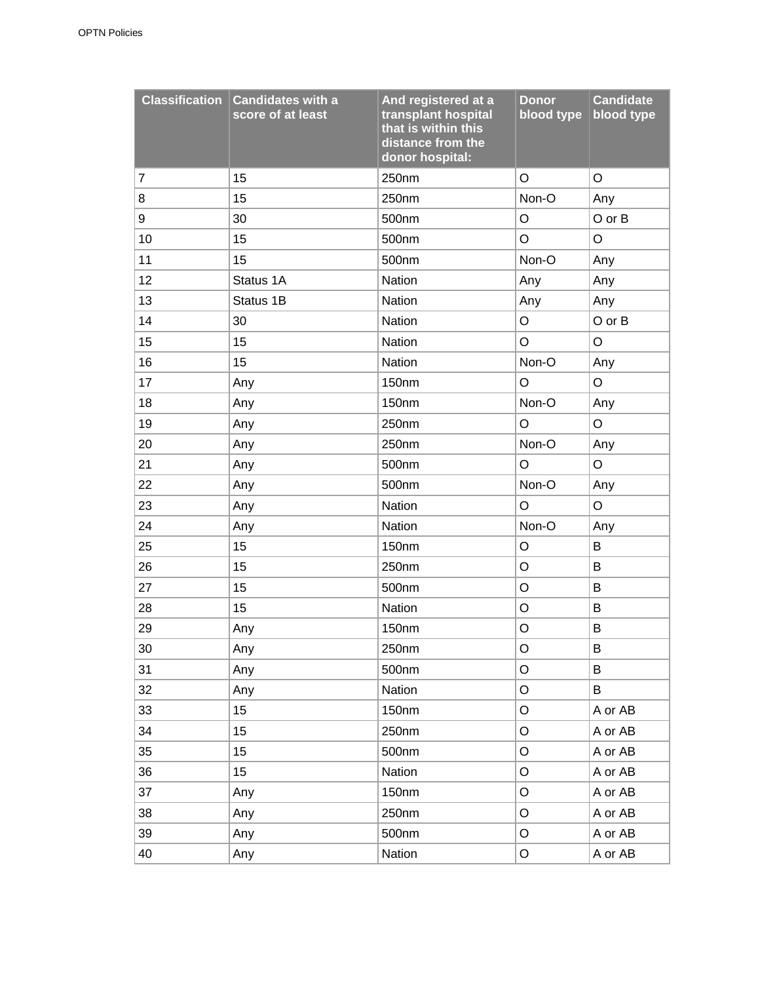| <b>Classification</b> | <b>Candidates with a</b><br>score of at least | And registered at a<br>transplant hospital<br>that is within this<br>distance from the<br>donor hospital: | <b>Donor</b><br>blood type | <b>Candidate</b><br>blood type |
|-----------------------|-----------------------------------------------|-----------------------------------------------------------------------------------------------------------|----------------------------|--------------------------------|
| 7                     | 15                                            | 250nm                                                                                                     | O                          | O                              |
| 8                     | 15                                            | 250nm                                                                                                     | Non-O                      | Any                            |
| 9                     | 30                                            | 500nm                                                                                                     | O                          | O or B                         |
| 10                    | 15                                            | 500 <sub>nm</sub>                                                                                         | O                          | $\circ$                        |
| 11                    | 15                                            | 500nm                                                                                                     | Non-O                      | Any                            |
| 12                    | Status 1A                                     | Nation                                                                                                    | Any                        | Any                            |
| 13                    | Status 1B                                     | Nation                                                                                                    | Any                        | Any                            |
| 14                    | 30                                            | Nation                                                                                                    | O                          | O or B                         |
| 15                    | 15                                            | Nation                                                                                                    | O                          | O                              |
| 16                    | 15                                            | Nation                                                                                                    | Non-O                      | Any                            |
| 17                    | Any                                           | 150nm                                                                                                     | $\circ$                    | $\mathsf O$                    |
| 18                    | Any                                           | 150nm                                                                                                     | Non-O                      | Any                            |
| 19                    | Any                                           | 250nm                                                                                                     | O                          | O                              |
| 20                    | Any                                           | 250nm                                                                                                     | Non-O                      | Any                            |
| 21                    | Any                                           | 500nm                                                                                                     | O                          | $\mathsf O$                    |
| 22                    | Any                                           | 500nm                                                                                                     | Non-O                      | Any                            |
| 23                    | Any                                           | Nation                                                                                                    | O                          | $\mathsf O$                    |
| 24                    | Any                                           | Nation                                                                                                    | Non-O                      | Any                            |
| 25                    | 15                                            | 150nm                                                                                                     | O                          | B                              |
| 26                    | 15                                            | 250nm                                                                                                     | O                          | B                              |
| 27                    | 15                                            | 500nm                                                                                                     | O                          | B                              |
| 28                    | 15                                            | <b>Nation</b>                                                                                             | O                          | B                              |
| 29                    | Any                                           | 150 <sub>nm</sub>                                                                                         | O                          | B                              |
| 30                    | Any                                           | 250nm                                                                                                     | O                          | B                              |
| 31                    | Any                                           | 500nm                                                                                                     | O                          | B                              |
| 32                    | Any                                           | <b>Nation</b>                                                                                             | O                          | B                              |
| 33                    | 15                                            | 150nm                                                                                                     | O                          | A or AB                        |
| 34                    | 15                                            | 250nm                                                                                                     | O                          | A or AB                        |
| 35                    | 15                                            | 500nm                                                                                                     | O                          | A or AB                        |
| 36                    | 15                                            | <b>Nation</b>                                                                                             | O                          | A or AB                        |
| 37                    | Any                                           | 150nm                                                                                                     | O                          | A or AB                        |
| 38                    | Any                                           | 250nm                                                                                                     | O                          | A or AB                        |
| 39                    | Any                                           | 500nm                                                                                                     | O                          | A or AB                        |
| 40                    | Any                                           | Nation                                                                                                    | O                          | A or AB                        |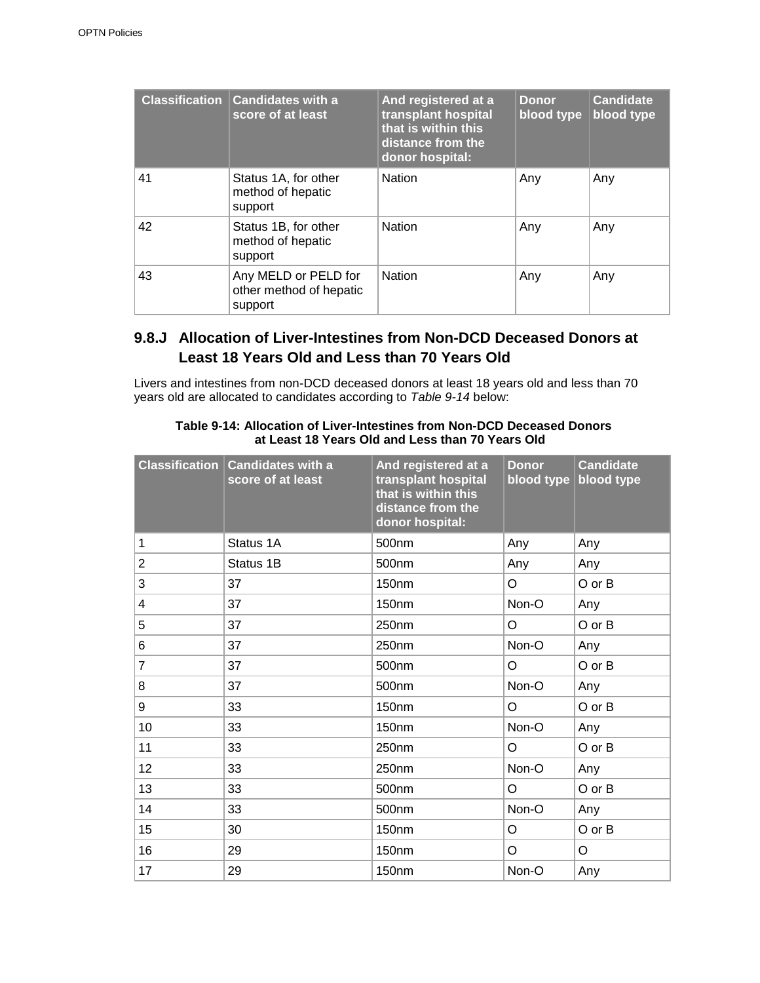| <b>Classification</b> | <b>Candidates with a</b><br>score of at least              | And registered at a<br>transplant hospital<br>that is within this<br>distance from the<br>donor hospital: | <b>Donor</b><br>blood type | <b>Candidate</b><br>blood type |
|-----------------------|------------------------------------------------------------|-----------------------------------------------------------------------------------------------------------|----------------------------|--------------------------------|
| 41                    | Status 1A, for other<br>method of hepatic<br>support       | <b>Nation</b>                                                                                             | Any                        | Any                            |
| 42                    | Status 1B, for other<br>method of hepatic<br>support       | <b>Nation</b>                                                                                             | Any                        | Any                            |
| 43                    | Any MELD or PELD for<br>other method of hepatic<br>support | <b>Nation</b>                                                                                             | Any                        | Any                            |

### **9.8.J Allocation of Liver-Intestines from Non-DCD Deceased Donors at Least 18 Years Old and Less than 70 Years Old**

Livers and intestines from non-DCD deceased donors at least 18 years old and less than 70 years old are allocated to candidates according to *Table 9-14* below:

|                         | <b>Classification Candidates with a</b><br>score of at least | And registered at a<br>transplant hospital<br>that is within this<br>distance from the<br>donor hospital: | <b>Donor</b><br>blood type | <b>Candidate</b><br>blood type |
|-------------------------|--------------------------------------------------------------|-----------------------------------------------------------------------------------------------------------|----------------------------|--------------------------------|
| 1                       | Status 1A                                                    | 500nm                                                                                                     | Any                        | Any                            |
| $\overline{2}$          | Status 1B                                                    | 500nm                                                                                                     | Any                        | Any                            |
| 3                       | 37                                                           | 150nm                                                                                                     | O                          | O or B                         |
| $\overline{\mathbf{4}}$ | 37                                                           | 150nm                                                                                                     | Non-O                      | Any                            |
| 5                       | 37                                                           | 250nm                                                                                                     | O                          | O or B                         |
| 6                       | 37                                                           | 250nm                                                                                                     | Non-O                      | Any                            |
| $\overline{7}$          | 37                                                           | 500nm                                                                                                     | O                          | O or B                         |
| 8                       | 37                                                           | 500nm                                                                                                     | Non-O                      | Any                            |
| 9                       | 33                                                           | 150nm                                                                                                     | O                          | O or B                         |
| 10                      | 33                                                           | 150nm                                                                                                     | Non-O                      | Any                            |
| 11                      | 33                                                           | 250nm                                                                                                     | O                          | O or B                         |
| 12                      | 33                                                           | 250nm                                                                                                     | Non-O                      | Any                            |
| 13                      | 33                                                           | 500nm                                                                                                     | O                          | O or B                         |
| 14                      | 33                                                           | 500nm                                                                                                     | Non-O                      | Any                            |
| 15                      | 30                                                           | 150nm                                                                                                     | O                          | O or B                         |
| 16                      | 29                                                           | <b>150nm</b>                                                                                              | O                          | $\mathsf O$                    |
| 17                      | 29                                                           | 150 <sub>nm</sub>                                                                                         | Non-O                      | Any                            |

**Table 9-14: Allocation of Liver-Intestines from Non-DCD Deceased Donors at Least 18 Years Old and Less than 70 Years Old**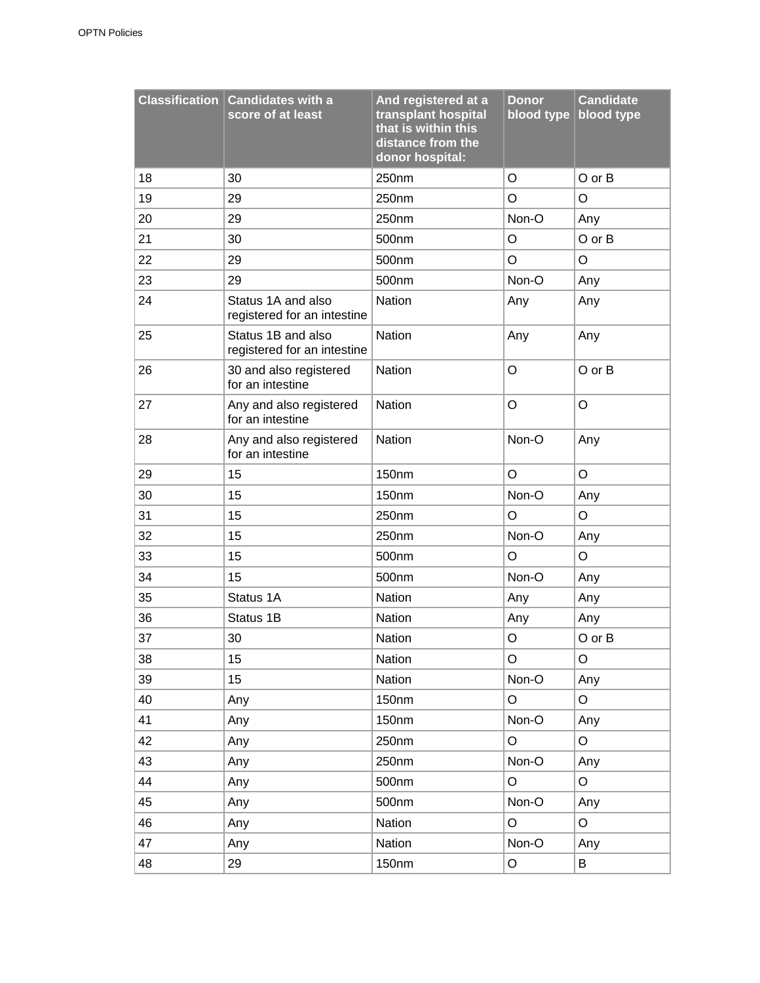|    | Classification Candidates with a<br>score of at least | And registered at a<br>transplant hospital<br>that is within this<br>distance from the<br>donor hospital: | <b>Donor</b><br>blood type | <b>Candidate</b><br>blood type |
|----|-------------------------------------------------------|-----------------------------------------------------------------------------------------------------------|----------------------------|--------------------------------|
| 18 | 30                                                    | 250nm                                                                                                     | O                          | O or B                         |
| 19 | 29                                                    | 250nm                                                                                                     | O                          | O                              |
| 20 | 29                                                    | 250nm                                                                                                     | Non-O                      | Any                            |
| 21 | 30                                                    | 500nm                                                                                                     | O                          | $O$ or $B$                     |
| 22 | 29                                                    | 500nm                                                                                                     | O                          | O                              |
| 23 | 29                                                    | 500nm                                                                                                     | Non-O                      | Any                            |
| 24 | Status 1A and also<br>registered for an intestine     | <b>Nation</b>                                                                                             | Any                        | Any                            |
| 25 | Status 1B and also<br>registered for an intestine     | Nation                                                                                                    | Any                        | Any                            |
| 26 | 30 and also registered<br>for an intestine            | Nation                                                                                                    | O                          | O or B                         |
| 27 | Any and also registered<br>for an intestine           | Nation                                                                                                    | O                          | O                              |
| 28 | Any and also registered<br>for an intestine           | Nation                                                                                                    | Non-O                      | Any                            |
| 29 | 15                                                    | 150nm                                                                                                     | O                          | O                              |
| 30 | 15                                                    | 150nm                                                                                                     | Non-O                      | Any                            |
| 31 | 15                                                    | 250nm                                                                                                     | O                          | O                              |
| 32 | 15                                                    | 250nm                                                                                                     | Non-O                      | Any                            |
| 33 | 15                                                    | 500 <sub>nm</sub>                                                                                         | O                          | O                              |
| 34 | 15                                                    | 500nm                                                                                                     | Non-O                      | Any                            |
| 35 | Status 1A                                             | Nation                                                                                                    | Any                        | Any                            |
| 36 | Status 1B                                             | Nation                                                                                                    | Any                        | Any                            |
| 37 | 30                                                    | <b>Nation</b>                                                                                             | O                          | O or B                         |
| 38 | 15                                                    | Nation                                                                                                    | $\mathsf O$                | $\circ$                        |
| 39 | 15                                                    | Nation                                                                                                    | Non-O                      | Any                            |
| 40 | Any                                                   | 150nm                                                                                                     | O                          | O                              |
| 41 | Any                                                   | <b>150nm</b>                                                                                              | Non-O                      | Any                            |
| 42 | Any                                                   | 250nm                                                                                                     | $\mathsf O$                | $\circ$                        |
| 43 | Any                                                   | 250nm                                                                                                     | Non-O                      | Any                            |
| 44 | Any                                                   | 500nm                                                                                                     | $\mathsf O$                | O                              |
| 45 | Any                                                   | 500nm                                                                                                     | Non-O                      | Any                            |
| 46 | Any                                                   | Nation                                                                                                    | $\mathsf O$                | O                              |
| 47 | Any                                                   | Nation                                                                                                    | Non-O                      | Any                            |
| 48 | 29                                                    | 150nm                                                                                                     | $\mathsf O$                | В                              |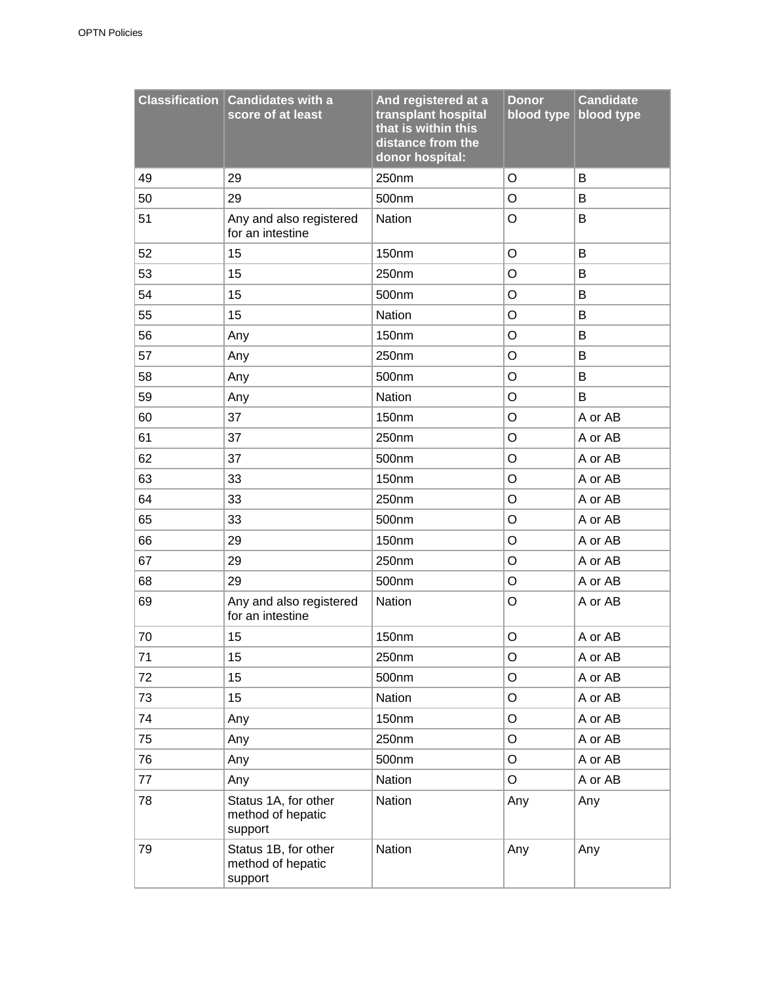|    | <b>Classification Candidates with a</b><br>score of at least | And registered at a<br>transplant hospital<br>that is within this<br>distance from the<br>donor hospital: | <b>Donor</b><br>blood type | <b>Candidate</b><br>blood type |
|----|--------------------------------------------------------------|-----------------------------------------------------------------------------------------------------------|----------------------------|--------------------------------|
| 49 | 29                                                           | 250nm                                                                                                     | O                          | B                              |
| 50 | 29                                                           | 500nm                                                                                                     | $\circ$                    | B                              |
| 51 | Any and also registered<br>for an intestine                  | Nation                                                                                                    | O                          | В                              |
| 52 | 15                                                           | 150nm                                                                                                     | O                          | B                              |
| 53 | 15                                                           | 250nm                                                                                                     | O                          | B                              |
| 54 | 15                                                           | 500nm                                                                                                     | $\circ$                    | B                              |
| 55 | 15                                                           | Nation                                                                                                    | O                          | B                              |
| 56 | Any                                                          | 150nm                                                                                                     | O                          | B                              |
| 57 | Any                                                          | 250nm                                                                                                     | O                          | B                              |
| 58 | Any                                                          | 500nm                                                                                                     | O                          | B                              |
| 59 | Any                                                          | Nation                                                                                                    | O                          | B                              |
| 60 | 37                                                           | <b>150nm</b>                                                                                              | O                          | A or AB                        |
| 61 | 37                                                           | 250nm                                                                                                     | O                          | A or AB                        |
| 62 | 37                                                           | 500nm                                                                                                     | $\circ$                    | A or AB                        |
| 63 | 33                                                           | 150nm                                                                                                     | O                          | A or AB                        |
| 64 | 33                                                           | 250nm                                                                                                     | O                          | A or AB                        |
| 65 | 33                                                           | 500nm                                                                                                     | O                          | A or AB                        |
| 66 | 29                                                           | 150 <sub>nm</sub>                                                                                         | O                          | A or AB                        |
| 67 | 29                                                           | 250nm                                                                                                     | O                          | A or AB                        |
| 68 | 29                                                           | 500nm                                                                                                     | O                          | A or AB                        |
| 69 | Any and also registered<br>for an intestine                  | Nation                                                                                                    | O                          | A or AB                        |
| 70 | 15                                                           | 150nm                                                                                                     | $\circ$                    | A or AB                        |
| 71 | 15                                                           | 250nm                                                                                                     | O                          | A or AB                        |
| 72 | 15                                                           | 500nm                                                                                                     | O                          | A or AB                        |
| 73 | 15                                                           | Nation                                                                                                    | O                          | A or AB                        |
| 74 | Any                                                          | 150nm                                                                                                     | O                          | A or AB                        |
| 75 | Any                                                          | 250nm                                                                                                     | O                          | A or AB                        |
| 76 | Any                                                          | 500nm                                                                                                     | O                          | A or AB                        |
| 77 | Any                                                          | Nation                                                                                                    | O                          | A or AB                        |
| 78 | Status 1A, for other<br>method of hepatic<br>support         | Nation                                                                                                    | Any                        | Any                            |
| 79 | Status 1B, for other<br>method of hepatic<br>support         | Nation                                                                                                    | Any                        | Any                            |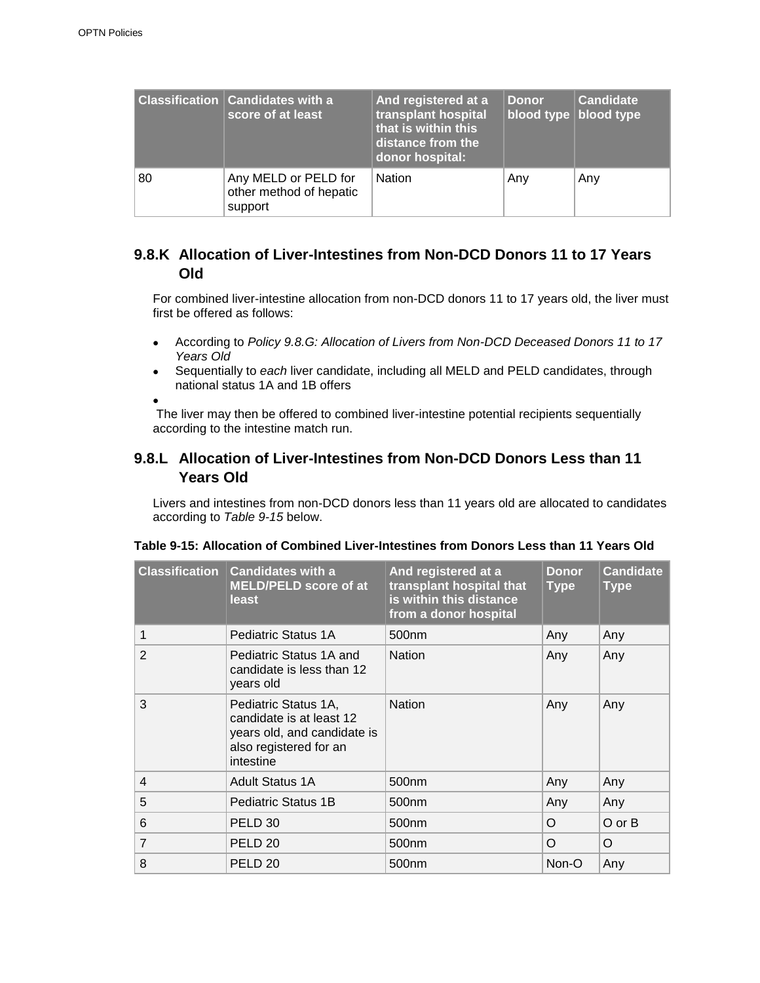|    | <b>Classification Candidates with a</b><br>score of at least | And registered at a<br>transplant hospital<br>that is within this<br>distance from the<br>donor hospital: | <b>Donor</b><br>blood type   blood type | <b>Candidate</b> |
|----|--------------------------------------------------------------|-----------------------------------------------------------------------------------------------------------|-----------------------------------------|------------------|
| 80 | Any MELD or PELD for<br>other method of hepatic<br>support   | <b>Nation</b>                                                                                             | Any                                     | Any              |

### **9.8.K Allocation of Liver-Intestines from Non-DCD Donors 11 to 17 Years Old**

For combined liver-intestine allocation from non-DCD donors 11 to 17 years old, the liver must first be offered as follows:

- According to *Policy 9.8.G: Allocation of Livers from Non-DCD Deceased Donors 11 to 17 Years Old*
- Sequentially to *each* liver candidate, including all MELD and PELD candidates, through national status 1A and 1B offers

 $\bullet$ The liver may then be offered to combined liver-intestine potential recipients sequentially according to the intestine match run.

### **9.8.L Allocation of Liver-Intestines from Non-DCD Donors Less than 11 Years Old**

Livers and intestines from non-DCD donors less than 11 years old are allocated to candidates according to *Table 9-15* below.

| <b>Classification</b> | <b>Candidates with a</b><br><b>MELD/PELD score of at</b><br>least                                                      | And registered at a<br>transplant hospital that<br>is within this distance<br>from a donor hospital | <b>Donor</b><br><b>Type</b> | <b>Candidate</b><br>Type |
|-----------------------|------------------------------------------------------------------------------------------------------------------------|-----------------------------------------------------------------------------------------------------|-----------------------------|--------------------------|
| 1                     | Pediatric Status 1A                                                                                                    | 500nm                                                                                               | Any                         | Any                      |
| $\overline{2}$        | Pediatric Status 1A and<br>candidate is less than 12<br>years old                                                      | <b>Nation</b>                                                                                       | Any                         | Any                      |
| 3                     | Pediatric Status 1A,<br>candidate is at least 12<br>years old, and candidate is<br>also registered for an<br>intestine | <b>Nation</b>                                                                                       | Any                         | Any                      |
| $\overline{4}$        | <b>Adult Status 1A</b>                                                                                                 | 500 <sub>nm</sub>                                                                                   | Any                         | Any                      |
| 5                     | <b>Pediatric Status 1B</b>                                                                                             | 500 <sub>nm</sub>                                                                                   | Any                         | Any                      |
| 6                     | PELD 30                                                                                                                | 500 <sub>nm</sub>                                                                                   | O                           | $O$ or $B$               |
| $\overline{7}$        | PELD <sub>20</sub>                                                                                                     | 500 <sub>nm</sub>                                                                                   | O                           | O                        |
| 8                     | PELD <sub>20</sub>                                                                                                     | 500 <sub>nm</sub>                                                                                   | Non-O                       | Any                      |

#### **Table 9-15: Allocation of Combined Liver-Intestines from Donors Less than 11 Years Old**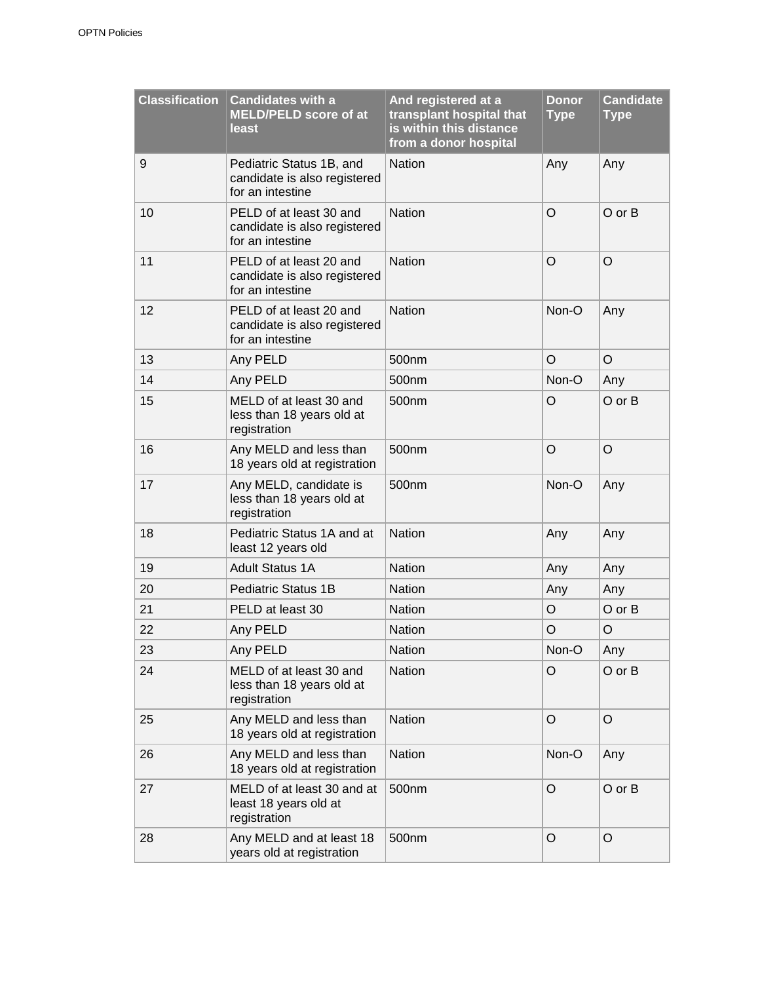| <b>Classification</b> | <b>Candidates with a</b><br><b>MELD/PELD score of at</b><br><b>least</b>     | And registered at a<br>transplant hospital that<br>is within this distance<br>from a donor hospital | <b>Donor</b><br><b>Type</b> | <b>Candidate</b><br><b>Type</b> |
|-----------------------|------------------------------------------------------------------------------|-----------------------------------------------------------------------------------------------------|-----------------------------|---------------------------------|
| 9                     | Pediatric Status 1B, and<br>candidate is also registered<br>for an intestine | <b>Nation</b>                                                                                       | Any                         | Any                             |
| 10                    | PELD of at least 30 and<br>candidate is also registered<br>for an intestine  | <b>Nation</b>                                                                                       | O                           | $O$ or $B$                      |
| 11                    | PELD of at least 20 and<br>candidate is also registered<br>for an intestine  | <b>Nation</b>                                                                                       | O                           | O                               |
| 12                    | PELD of at least 20 and<br>candidate is also registered<br>for an intestine  | <b>Nation</b>                                                                                       | Non-O                       | Any                             |
| 13                    | Any PELD                                                                     | 500nm                                                                                               | O                           | $\circ$                         |
| 14                    | Any PELD                                                                     | 500 <sub>nm</sub>                                                                                   | Non-O                       | Any                             |
| 15                    | MELD of at least 30 and<br>less than 18 years old at<br>registration         | 500 <sub>nm</sub>                                                                                   | O                           | O or B                          |
| 16                    | Any MELD and less than<br>18 years old at registration                       | 500nm                                                                                               | O                           | $\circ$                         |
| 17                    | Any MELD, candidate is<br>less than 18 years old at<br>registration          | 500nm                                                                                               | Non-O                       | Any                             |
| 18                    | Pediatric Status 1A and at<br>least 12 years old                             | <b>Nation</b>                                                                                       | Any                         | Any                             |
| 19                    | <b>Adult Status 1A</b>                                                       | <b>Nation</b>                                                                                       | Any                         | Any                             |
| 20                    | <b>Pediatric Status 1B</b>                                                   | Nation                                                                                              | Any                         | Any                             |
| 21                    | PELD at least 30                                                             | Nation                                                                                              | O                           | O or B                          |
| 22                    | Any PELD                                                                     | <b>Nation</b>                                                                                       | O                           | O                               |
| 23                    | Any PELD                                                                     | Nation                                                                                              | Non-O                       | Any                             |
| 24                    | MELD of at least 30 and<br>less than 18 years old at<br>registration         | <b>Nation</b>                                                                                       | O                           | O or B                          |
| 25                    | Any MELD and less than<br>18 years old at registration                       | Nation                                                                                              | O                           | $\circ$                         |
| 26                    | Any MELD and less than<br>18 years old at registration                       | Nation                                                                                              | Non-O                       | Any                             |
| 27                    | MELD of at least 30 and at<br>least 18 years old at<br>registration          | 500nm                                                                                               | $\circ$                     | O or B                          |
| 28                    | Any MELD and at least 18<br>years old at registration                        | 500nm                                                                                               | O                           | $\circ$                         |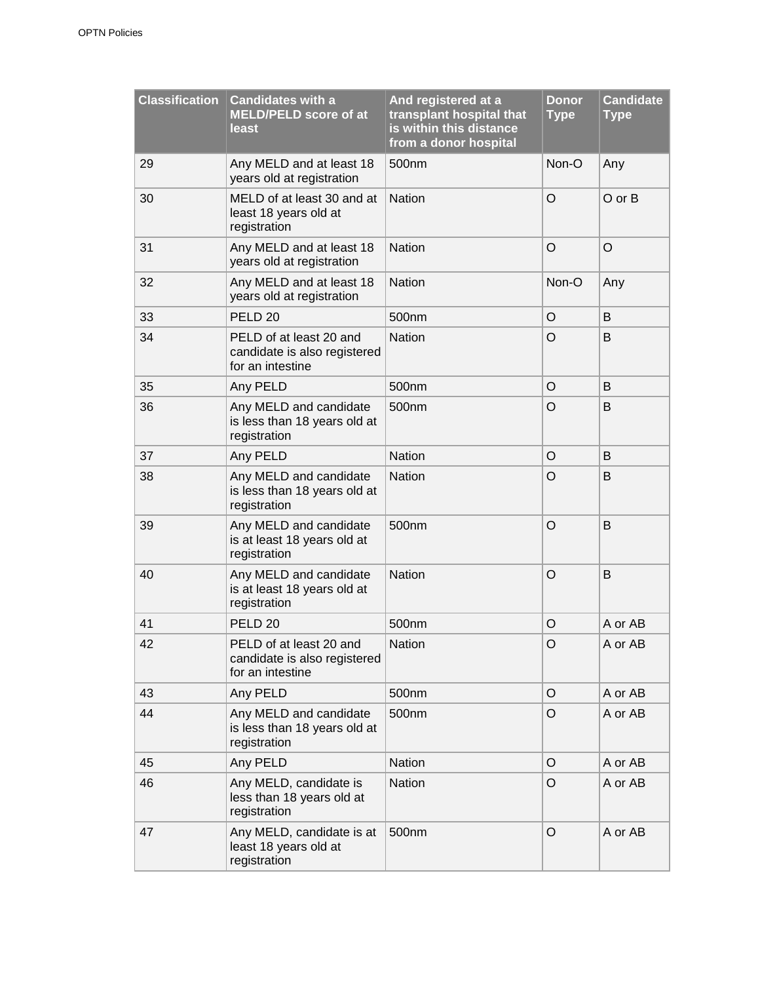| <b>Classification</b> | <b>Candidates with a</b><br><b>MELD/PELD score of at</b><br>least           | And registered at a<br>transplant hospital that<br>is within this distance<br>from a donor hospital | <b>Donor</b><br><b>Type</b> | <b>Candidate</b><br><b>Type</b> |
|-----------------------|-----------------------------------------------------------------------------|-----------------------------------------------------------------------------------------------------|-----------------------------|---------------------------------|
| 29                    | Any MELD and at least 18<br>years old at registration                       | 500nm                                                                                               | Non-O                       | Any                             |
| 30                    | MELD of at least 30 and at<br>least 18 years old at<br>registration         | <b>Nation</b>                                                                                       | $\circ$                     | $O$ or $B$                      |
| 31                    | Any MELD and at least 18<br>years old at registration                       | <b>Nation</b>                                                                                       | O                           | O                               |
| 32                    | Any MELD and at least 18<br>years old at registration                       | <b>Nation</b>                                                                                       | Non-O                       | Any                             |
| 33                    | PELD <sub>20</sub>                                                          | 500nm                                                                                               | O                           | B                               |
| 34                    | PELD of at least 20 and<br>candidate is also registered<br>for an intestine | <b>Nation</b>                                                                                       | O                           | B                               |
| 35                    | Any PELD                                                                    | 500nm                                                                                               | O                           | B                               |
| 36                    | Any MELD and candidate<br>is less than 18 years old at<br>registration      | 500nm                                                                                               | O                           | B                               |
| 37                    | Any PELD                                                                    | <b>Nation</b>                                                                                       | O                           | B                               |
| 38                    | Any MELD and candidate<br>is less than 18 years old at<br>registration      | <b>Nation</b>                                                                                       | O                           | B                               |
| 39                    | Any MELD and candidate<br>is at least 18 years old at<br>registration       | 500nm                                                                                               | O                           | B                               |
| 40                    | Any MELD and candidate<br>is at least 18 years old at<br>registration       | <b>Nation</b>                                                                                       | O                           | B                               |
| 41                    | PELD <sub>20</sub>                                                          | 500nm                                                                                               | O                           | A or AB                         |
| 42                    | PELD of at least 20 and<br>candidate is also registered<br>for an intestine | <b>Nation</b>                                                                                       | O                           | A or AB                         |
| 43                    | Any PELD                                                                    | 500nm                                                                                               | O                           | A or AB                         |
| 44                    | Any MELD and candidate<br>is less than 18 years old at<br>registration      | 500nm                                                                                               | $\circ$                     | A or AB                         |
| 45                    | Any PELD                                                                    | Nation                                                                                              | O                           | A or AB                         |
| 46                    | Any MELD, candidate is<br>less than 18 years old at<br>registration         | Nation                                                                                              | O                           | A or AB                         |
| 47                    | Any MELD, candidate is at<br>least 18 years old at<br>registration          | 500nm                                                                                               | O                           | A or AB                         |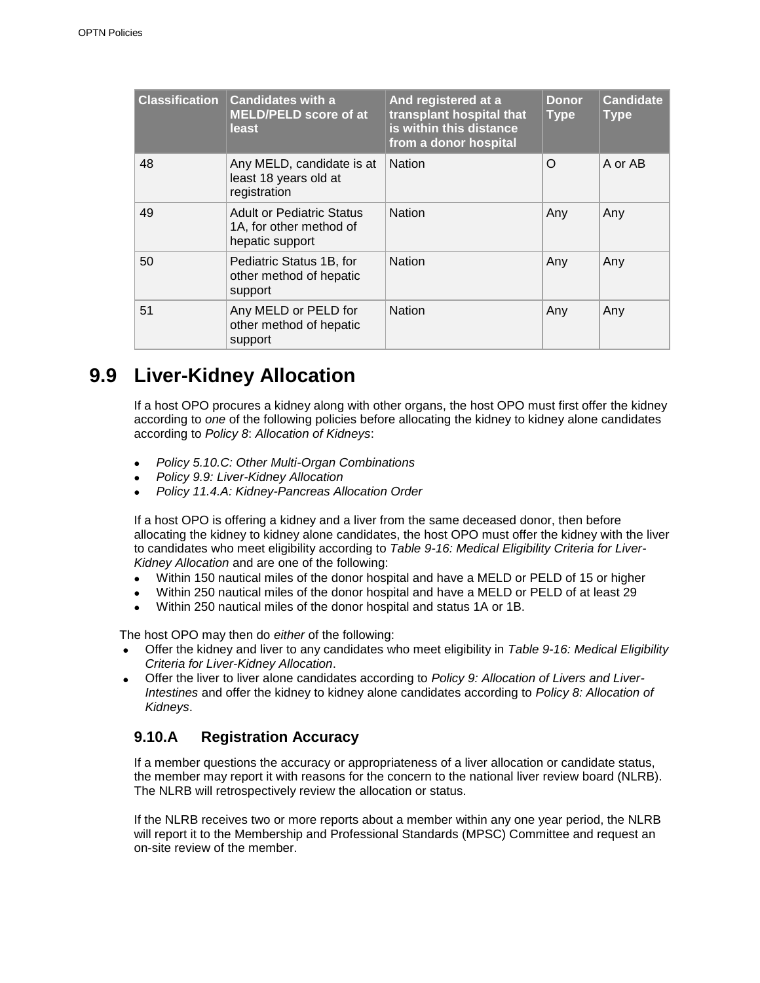| <b>Classification</b> | <b>Candidates with a</b><br><b>MELD/PELD score of at</b><br>least              | And registered at a<br>transplant hospital that<br>is within this distance<br>from a donor hospital | <b>Donor</b><br><b>Type</b> | <b>Candidate</b><br><b>Type</b> |
|-----------------------|--------------------------------------------------------------------------------|-----------------------------------------------------------------------------------------------------|-----------------------------|---------------------------------|
| 48                    | Any MELD, candidate is at<br>least 18 years old at<br>registration             | <b>Nation</b>                                                                                       | $\Omega$                    | A or AB                         |
| 49                    | <b>Adult or Pediatric Status</b><br>1A, for other method of<br>hepatic support | <b>Nation</b>                                                                                       | Any                         | Any                             |
| 50                    | Pediatric Status 1B, for<br>other method of hepatic<br>support                 | <b>Nation</b>                                                                                       | Any                         | Any                             |
| 51                    | Any MELD or PELD for<br>other method of hepatic<br>support                     | <b>Nation</b>                                                                                       | Any                         | Any                             |

## **9.9 Liver-Kidney Allocation**

If a host OPO procures a kidney along with other organs, the host OPO must first offer the kidney according to *one* of the following policies before allocating the kidney to kidney alone candidates according to *Policy 8*: *Allocation of Kidneys*:

- *Policy 5.10.C: Other Multi-Organ Combinations*
- *Policy 9.9: Liver-Kidney Allocation*
- *Policy 11.4.A: Kidney-Pancreas Allocation Order*

If a host OPO is offering a kidney and a liver from the same deceased donor, then before allocating the kidney to kidney alone candidates, the host OPO must offer the kidney with the liver to candidates who meet eligibility according to *Table 9-16: Medical Eligibility Criteria for Liver-Kidney Allocation* and are one of the following:

- Within 150 nautical miles of the donor hospital and have a MELD or PELD of 15 or higher
- Within 250 nautical miles of the donor hospital and have a MELD or PELD of at least 29
- Within 250 nautical miles of the donor hospital and status 1A or 1B.

The host OPO may then do *either* of the following:

- Offer the kidney and liver to any candidates who meet eligibility in *Table 9-16: Medical Eligibility Criteria for Liver-Kidney Allocation*.
- Offer the liver to liver alone candidates according to *Policy 9: Allocation of Livers and Liver-Intestines* and offer the kidney to kidney alone candidates according to *Policy 8: Allocation of Kidneys*.

### **9.10.A Registration Accuracy**

If a member questions the accuracy or appropriateness of a liver allocation or candidate status, the member may report it with reasons for the concern to the national liver review board (NLRB). The NLRB will retrospectively review the allocation or status.

If the NLRB receives two or more reports about a member within any one year period, the NLRB will report it to the Membership and Professional Standards (MPSC) Committee and request an on-site review of the member.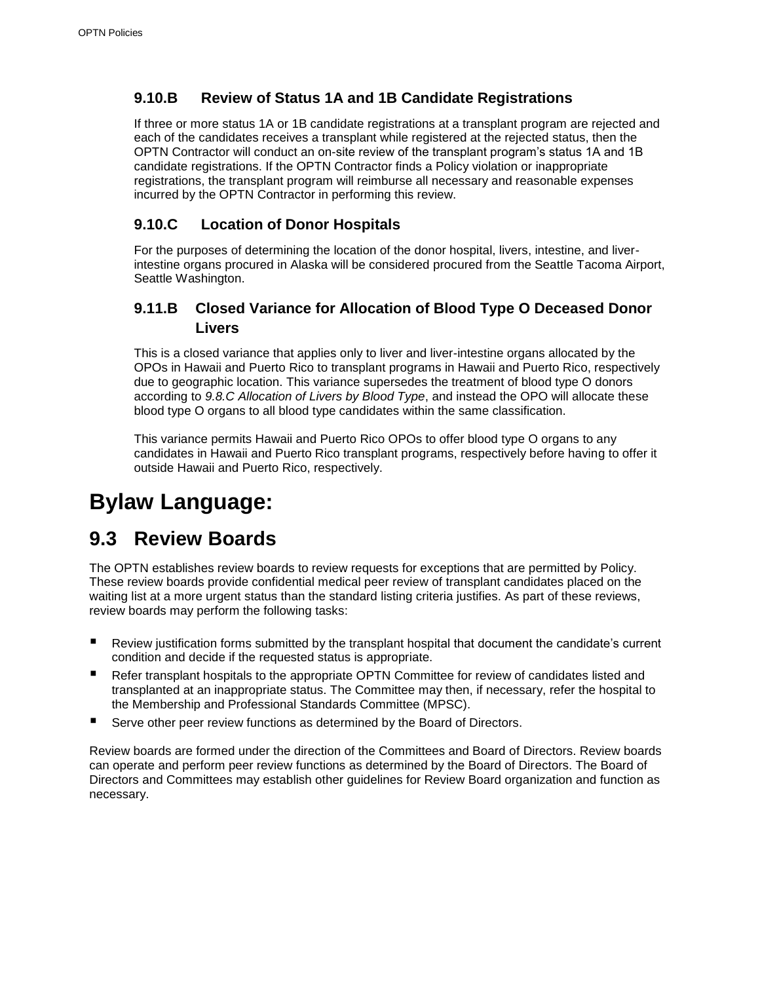### **9.10.B Review of Status 1A and 1B Candidate Registrations**

If three or more status 1A or 1B candidate registrations at a transplant program are rejected and each of the candidates receives a transplant while registered at the rejected status, then the OPTN Contractor will conduct an on-site review of the transplant program's status 1A and 1B candidate registrations. If the OPTN Contractor finds a Policy violation or inappropriate registrations, the transplant program will reimburse all necessary and reasonable expenses incurred by the OPTN Contractor in performing this review.

### **9.10.C Location of Donor Hospitals**

For the purposes of determining the location of the donor hospital, livers, intestine, and liverintestine organs procured in Alaska will be considered procured from the Seattle Tacoma Airport, Seattle Washington.

### **9.11.B Closed Variance for Allocation of Blood Type O Deceased Donor Livers**

This is a closed variance that applies only to liver and liver-intestine organs allocated by the OPOs in Hawaii and Puerto Rico to transplant programs in Hawaii and Puerto Rico, respectively due to geographic location. This variance supersedes the treatment of blood type O donors according to *9.8.C Allocation of Livers by Blood Type*, and instead the OPO will allocate these blood type O organs to all blood type candidates within the same classification.

This variance permits Hawaii and Puerto Rico OPOs to offer blood type O organs to any candidates in Hawaii and Puerto Rico transplant programs, respectively before having to offer it outside Hawaii and Puerto Rico, respectively.

# **Bylaw Language:**

## **9.3 Review Boards**

The OPTN establishes review boards to review requests for exceptions that are permitted by Policy. These review boards provide confidential medical peer review of transplant candidates placed on the waiting list at a more urgent status than the standard listing criteria justifies. As part of these reviews, review boards may perform the following tasks:

- Review justification forms submitted by the transplant hospital that document the candidate's current condition and decide if the requested status is appropriate.
- Refer transplant hospitals to the appropriate OPTN Committee for review of candidates listed and transplanted at an inappropriate status. The Committee may then, if necessary, refer the hospital to the Membership and Professional Standards Committee (MPSC).
- Serve other peer review functions as determined by the Board of Directors.

Review boards are formed under the direction of the Committees and Board of Directors. Review boards can operate and perform peer review functions as determined by the Board of Directors. The Board of Directors and Committees may establish other guidelines for Review Board organization and function as necessary.